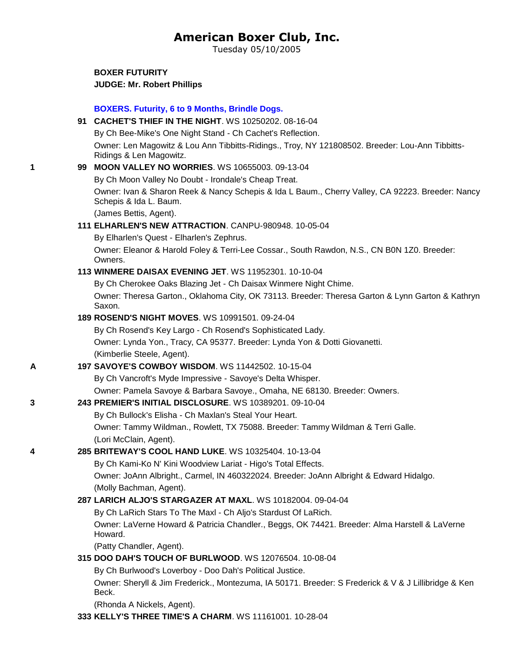# **American Boxer Club, Inc.**

Tuesday 05/10/2005

**BOXER FUTURITY JUDGE: [Mr. Robert Phillips](http://www.infodog.com/judges/8493/juddat.htm)**

# **BOXERS. Futurity, 6 to 9 Months, Brindle Dogs. 91 [CACHET'S THIEF IN THE NIGHT](http://canis.infodog.com/files/bdogrsl1.prg;makc=WS_10250202;mdog=Cachet_s_Thief_In_The_Night;wins=all)**. WS 10250202. 08-16-04 By Ch Bee-Mike's One Night Stand - Ch Cachet's Reflection. Owner: Len Magowitz & Lou Ann Tibbitts-Ridings., Troy, NY 121808502. Breeder: Lou-Ann Tibbitts-Ridings & Len Magowitz. **1 99 [MOON VALLEY NO WORRIES](http://canis.infodog.com/files/bdogrsl1.prg;makc=WS_10655003;mdog=Moon_Valley_No_Worries;wins=all)**. WS 10655003. 09-13-04 By Ch Moon Valley No Doubt - Irondale's Cheap Treat. Owner: Ivan & Sharon Reek & Nancy Schepis & Ida L Baum., Cherry Valley, CA 92223. Breeder: Nancy Schepis & Ida L. Baum. (James Bettis, Agent). **111 [ELHARLEN'S NEW ATTRACTION](http://canis.infodog.com/files/bdogrsl1.prg;makc=CANPU-980948;mdog=Elharlen_s_New_Attraction;wins=all)**. CANPU-980948. 10-05-04 By Elharlen's Quest - Elharlen's Zephrus. Owner: Eleanor & Harold Foley & Terri-Lee Cossar., South Rawdon, N.S., CN B0N 1Z0. Breeder: Owners. **113 [WINMERE DAISAX EVENING JET](http://canis.infodog.com/files/bdogrsl1.prg;makc=WS_11952301;mdog=Winmere_Daisax_Evening_Jet;wins=all)**. WS 11952301. 10-10-04 By Ch Cherokee Oaks Blazing Jet - Ch Daisax Winmere Night Chime. Owner: Theresa Garton., Oklahoma City, OK 73113. Breeder: Theresa Garton & Lynn Garton & Kathryn Saxon. **189 [ROSEND'S NIGHT MOVES](http://canis.infodog.com/files/bdogrsl1.prg;makc=WS_10991501;mdog=Rosend_s_Night_Moves;wins=all)**. WS 10991501. 09-24-04 By Ch Rosend's Key Largo - Ch Rosend's Sophisticated Lady. Owner: Lynda Yon., Tracy, CA 95377. Breeder: Lynda Yon & Dotti Giovanetti. (Kimberlie Steele, Agent). **A 197 [SAVOYE'S COWBOY WISDOM](http://canis.infodog.com/files/bdogrsl1.prg;makc=WS_11442502;mdog=Savoye_s_Cowboy_Wisdom;wins=all)**. WS 11442502. 10-15-04 By Ch Vancroft's Myde Impressive - Savoye's Delta Whisper. Owner: Pamela Savoye & Barbara Savoye., Omaha, NE 68130. Breeder: Owners. **3 243 [PREMIER'S INITIAL DISCLOSURE](http://canis.infodog.com/files/bdogrsl1.prg;makc=WS_10389201;mdog=Premier_s_Initial_Disclosure;wins=all)**. WS 10389201. 09-10-04 By Ch Bullock's Elisha - Ch Maxlan's Steal Your Heart. Owner: Tammy Wildman., Rowlett, TX 75088. Breeder: Tammy Wildman & Terri Galle. (Lori McClain, Agent). **4 285 [BRITEWAY'S COOL HAND LUKE](http://canis.infodog.com/files/bdogrsl1.prg;makc=WS_10325404;mdog=Briteway_s_Cool_Hand_Luke;wins=all)**. WS 10325404. 10-13-04 By Ch Kami-Ko N' Kini Woodview Lariat - Higo's Total Effects. Owner: JoAnn Albright., Carmel, IN 460322024. Breeder: JoAnn Albright & Edward Hidalgo. (Molly Bachman, Agent). **287 [LARICH ALJO'S STARGAZER AT MAXL](http://canis.infodog.com/files/bdogrsl1.prg;makc=WS_10182004;mdog=LaRich_Aljo_s_Stargazer_At_Maxl;wins=all)**. WS 10182004. 09-04-04 By Ch LaRich Stars To The Maxl - Ch Aljo's Stardust Of LaRich. Owner: LaVerne Howard & Patricia Chandler., Beggs, OK 74421. Breeder: Alma Harstell & LaVerne Howard. (Patty Chandler, Agent). **315 [DOO DAH'S TOUCH OF BURLWOOD](http://canis.infodog.com/files/bdogrsl1.prg;makc=WS_12076504;mdog=Doo_Dah_s_Touch_Of_Burlwood;wins=all)**. WS 12076504. 10-08-04 By Ch Burlwood's Loverboy - Doo Dah's Political Justice. Owner: Sheryll & Jim Frederick., Montezuma, IA 50171. Breeder: S Frederick & V & J Lillibridge & Ken Beck. (Rhonda A Nickels, Agent).

**333 [KELLY'S THREE TIME'S A CHARM](http://canis.infodog.com/files/bdogrsl1.prg;makc=WS_11161001;mdog=Kelly_s_Three_Time_s_A_Charm;wins=all)**. WS 11161001. 10-28-04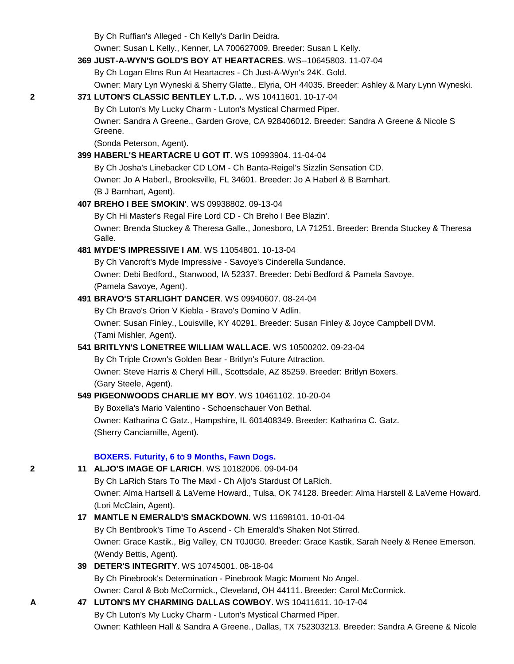By Ch Ruffian's Alleged - Ch Kelly's Darlin Deidra.

Owner: Susan L Kelly., Kenner, LA 700627009. Breeder: Susan L Kelly.

# **369 [JUST-A-WYN'S GOLD'S BOY AT HEARTACRES](http://canis.infodog.com/files/bdogrsl1.prg;makc=WS--10645803;mdog=Just-A-Wyn_s_Gold_s_Boy_AT_Heartacres;wins=all)**. WS--10645803. 11-07-04

By Ch Logan Elms Run At Heartacres - Ch Just-A-Wyn's 24K. Gold.

Owner: Mary Lyn Wyneski & Sherry Glatte., Elyria, OH 44035. Breeder: Ashley & Mary Lynn Wyneski.

## **2 371 [LUTON'S CLASSIC BENTLEY L.T.D. .](http://canis.infodog.com/files/bdogrsl1.prg;makc=WS_10411601;mdog=Luton_s_Classic_Bentley_L.T.D._.;wins=all)**. WS 10411601. 10-17-04

By Ch Luton's My Lucky Charm - Luton's Mystical Charmed Piper.

Owner: Sandra A Greene., Garden Grove, CA 928406012. Breeder: Sandra A Greene & Nicole S Greene.

(Sonda Peterson, Agent).

### **399 [HABERL'S HEARTACRE U GOT IT](http://canis.infodog.com/files/bdogrsl1.prg;makc=WS_10993904;mdog=Haberl_s_Heartacre_U_Got_It;wins=all)**. WS 10993904. 11-04-04

By Ch Josha's Linebacker CD LOM - Ch Banta-Reigel's Sizzlin Sensation CD. Owner: Jo A Haberl., Brooksville, FL 34601. Breeder: Jo A Haberl & B Barnhart. (B J Barnhart, Agent).

### **407 [BREHO I BEE SMOKIN'](http://canis.infodog.com/files/bdogrsl1.prg;makc=WS_09938802;mdog=Breho_I_Bee_Smokin_;wins=all)**. WS 09938802. 09-13-04

By Ch Hi Master's Regal Fire Lord CD - Ch Breho I Bee Blazin'.

Owner: Brenda Stuckey & Theresa Galle., Jonesboro, LA 71251. Breeder: Brenda Stuckey & Theresa Galle.

## **481 [MYDE'S IMPRESSIVE I AM](http://canis.infodog.com/files/bdogrsl1.prg;makc=WS_11054801;mdog=Myde_s_Impressive_I_Am;wins=all)**. WS 11054801. 10-13-04

By Ch Vancroft's Myde Impressive - Savoye's Cinderella Sundance. Owner: Debi Bedford., Stanwood, IA 52337. Breeder: Debi Bedford & Pamela Savoye. (Pamela Savoye, Agent).

### **491 [BRAVO'S STARLIGHT DANCER](http://canis.infodog.com/files/bdogrsl1.prg;makc=WS_09940607;mdog=Bravo_s_Starlight_Dancer;wins=all)**. WS 09940607. 08-24-04

By Ch Bravo's Orion V Kiebla - Bravo's Domino V Adlin. Owner: Susan Finley., Louisville, KY 40291. Breeder: Susan Finley & Joyce Campbell DVM. (Tami Mishler, Agent).

## **541 [BRITLYN'S LONETREE WILLIAM WALLACE](http://canis.infodog.com/files/bdogrsl1.prg;makc=WS_10500202;mdog=Britlyn_s_Lonetree_William_Wallace;wins=all)**. WS 10500202. 09-23-04

By Ch Triple Crown's Golden Bear - Britlyn's Future Attraction. Owner: Steve Harris & Cheryl Hill., Scottsdale, AZ 85259. Breeder: Britlyn Boxers. (Gary Steele, Agent).

### **549 [PIGEONWOODS CHARLIE MY BOY](http://canis.infodog.com/files/bdogrsl1.prg;makc=WS_10461102;mdog=Pigeonwoods_Charlie_My_Boy;wins=all)**. WS 10461102. 10-20-04

By Boxella's Mario Valentino - Schoenschauer Von Bethal. Owner: Katharina C Gatz., Hampshire, IL 601408349. Breeder: Katharina C. Gatz. (Sherry Canciamille, Agent).

### **BOXERS. Futurity, 6 to 9 Months, Fawn Dogs.**

**2 11 [ALJO'S IMAGE OF LARICH](http://canis.infodog.com/files/bdogrsl1.prg;makc=WS_10182006;mdog=Aljo_s_Image_Of_LaRich;wins=all)**. WS 10182006. 09-04-04 By Ch LaRich Stars To The Maxl - Ch Aljo's Stardust Of LaRich. Owner: Alma Hartsell & LaVerne Howard., Tulsa, OK 74128. Breeder: Alma Harstell & LaVerne Howard. (Lori McClain, Agent).

# **17 [MANTLE N EMERALD'S SMACKDOWN](http://canis.infodog.com/files/bdogrsl1.prg;makc=WS_11698101;mdog=Mantle_N_Emerald_s_Smackdown;wins=all)**. WS 11698101. 10-01-04

By Ch Bentbrook's Time To Ascend - Ch Emerald's Shaken Not Stirred. Owner: Grace Kastik., Big Valley, CN T0J0G0. Breeder: Grace Kastik, Sarah Neely & Renee Emerson. (Wendy Bettis, Agent).

# **39 [DETER'S INTEGRITY](http://canis.infodog.com/files/bdogrsl1.prg;makc=WS_10745001;mdog=Deter_s_Integrity;wins=all)**. WS 10745001. 08-18-04 By Ch Pinebrook's Determination - Pinebrook Magic Moment No Angel. Owner: Carol & Bob McCormick., Cleveland, OH 44111. Breeder: Carol McCormick.

**A 47 [LUTON'S MY CHARMING DALLAS COWBOY](http://canis.infodog.com/files/bdogrsl1.prg;makc=WS_10411611;mdog=Luton_s_My_Charming_Dallas_Cowboy;wins=all)**. WS 10411611. 10-17-04

By Ch Luton's My Lucky Charm - Luton's Mystical Charmed Piper. Owner: Kathleen Hall & Sandra A Greene., Dallas, TX 752303213. Breeder: Sandra A Greene & Nicole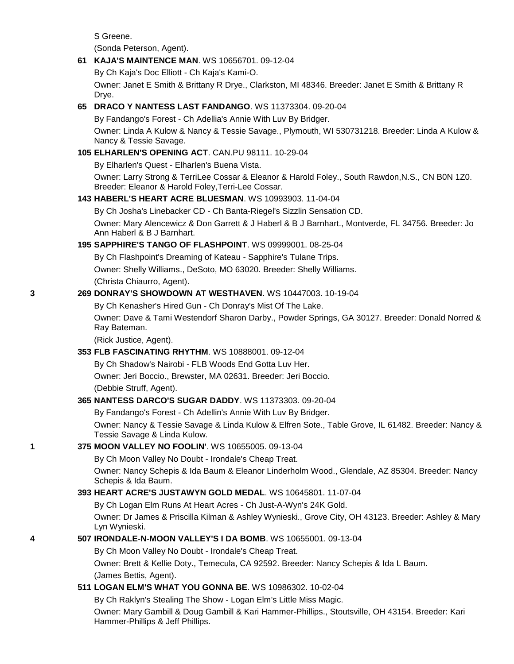S Greene.

(Sonda Peterson, Agent).

### **61 [KAJA'S MAINTENCE MAN](http://canis.infodog.com/files/bdogrsl1.prg;makc=WS_10656701;mdog=Kaja_s_Maintence_Man;wins=all)**. WS 10656701. 09-12-04

By Ch Kaja's Doc Elliott - Ch Kaja's Kami-O.

Owner: Janet E Smith & Brittany R Drye., Clarkston, MI 48346. Breeder: Janet E Smith & Brittany R Drye.

### **65 [DRACO Y NANTESS LAST FANDANGO](http://canis.infodog.com/files/bdogrsl1.prg;makc=WS_11373304;mdog=Draco_Y_Nantess_Last_Fandango;wins=all)**. WS 11373304. 09-20-04

By Fandango's Forest - Ch Adellia's Annie With Luv By Bridger.

Owner: Linda A Kulow & Nancy & Tessie Savage., Plymouth, WI 530731218. Breeder: Linda A Kulow & Nancy & Tessie Savage.

### **105 [ELHARLEN'S OPENING ACT](http://canis.infodog.com/files/bdogrsl1.prg;makc=CAN.PU_981114;mdog=Elharlen_s_Opening_Act;wins=all)**. CAN.PU 98111. 10-29-04

By Elharlen's Quest - Elharlen's Buena Vista.

Owner: Larry Strong & TerriLee Cossar & Eleanor & Harold Foley., South Rawdon,N.S., CN B0N 1Z0. Breeder: Eleanor & Harold Foley,Terri-Lee Cossar.

### **143 [HABERL'S HEART ACRE BLUESMAN](http://canis.infodog.com/files/bdogrsl1.prg;makc=WS_10993903;mdog=Haberl_s_Heart_Acre_Bluesman;wins=all)**. WS 10993903. 11-04-04

By Ch Josha's Linebacker CD - Ch Banta-Riegel's Sizzlin Sensation CD.

Owner: Mary Alencewicz & Don Garrett & J Haberl & B J Barnhart., Montverde, FL 34756. Breeder: Jo Ann Haberl & B J Barnhart.

### **195 [SAPPHIRE'S TANGO OF FLASHPOINT](http://canis.infodog.com/files/bdogrsl1.prg;makc=WS_09999001;mdog=Sapphire_s_Tango_Of_Flashpoint;wins=all)**. WS 09999001. 08-25-04

By Ch Flashpoint's Dreaming of Kateau - Sapphire's Tulane Trips. Owner: Shelly Williams., DeSoto, MO 63020. Breeder: Shelly Williams. (Christa Chiaurro, Agent).

### **3 269 [DONRAY'S SHOWDOWN AT WESTHAVEN](http://canis.infodog.com/files/bdogrsl1.prg;makc=WS_10447003;mdog=Donray_s_Showdown_At_Westhaven;wins=all)**. WS 10447003. 10-19-04

By Ch Kenasher's Hired Gun - Ch Donray's Mist Of The Lake.

Owner: Dave & Tami Westendorf Sharon Darby., Powder Springs, GA 30127. Breeder: Donald Norred & Ray Bateman.

(Rick Justice, Agent).

### **353 [FLB FASCINATING RHYTHM](http://canis.infodog.com/files/bdogrsl1.prg;makc=WS_10888001;mdog=FLB_Fascinating_Rhythm;wins=all)**. WS 10888001. 09-12-04

By Ch Shadow's Nairobi - FLB Woods End Gotta Luv Her. Owner: Jeri Boccio., Brewster, MA 02631. Breeder: Jeri Boccio. (Debbie Struff, Agent).

## **365 [NANTESS DARCO'S SUGAR DADDY](http://canis.infodog.com/files/bdogrsl1.prg;makc=WS_11373303;mdog=Nantess_Darco_s_Sugar_Daddy;wins=all)**. WS 11373303. 09-20-04

By Fandango's Forest - Ch Adellin's Annie With Luv By Bridger.

Owner: Nancy & Tessie Savage & Linda Kulow & Elfren Sote., Table Grove, IL 61482. Breeder: Nancy & Tessie Savage & Linda Kulow.

## **1 375 [MOON VALLEY NO FOOLIN'](http://canis.infodog.com/files/bdogrsl1.prg;makc=WS_10655005;mdog=Moon_Valley_No_Foolin_;wins=all)**. WS 10655005. 09-13-04

By Ch Moon Valley No Doubt - Irondale's Cheap Treat.

Owner: Nancy Schepis & Ida Baum & Eleanor Linderholm Wood., Glendale, AZ 85304. Breeder: Nancy Schepis & Ida Baum.

## **393 [HEART ACRE'S JUSTAWYN GOLD MEDAL](http://canis.infodog.com/files/bdogrsl1.prg;makc=WS_10645801;mdog=Heart_Acre_s_Justawyn_Gold_Medal;wins=all)**. WS 10645801. 11-07-04

By Ch Logan Elm Runs At Heart Acres - Ch Just-A-Wyn's 24K Gold.

Owner: Dr James & Priscilla Kilman & Ashley Wynieski., Grove City, OH 43123. Breeder: Ashley & Mary Lyn Wynieski.

# **4 507 [IRONDALE-N-MOON VALLEY'S I DA BOMB](http://canis.infodog.com/files/bdogrsl1.prg;makc=WS_10655001;mdog=Irondale-n-Moon_Valley_s_I_Da_Bomb;wins=all)**. WS 10655001. 09-13-04

By Ch Moon Valley No Doubt - Irondale's Cheap Treat.

Owner: Brett & Kellie Doty., Temecula, CA 92592. Breeder: Nancy Schepis & Ida L Baum. (James Bettis, Agent).

## **511 [LOGAN ELM'S WHAT YOU GONNA BE](http://canis.infodog.com/files/bdogrsl1.prg;makc=WS_10986302;mdog=Logan_Elm_s_What_You_Gonna_Be;wins=all)**. WS 10986302. 10-02-04

By Ch Raklyn's Stealing The Show - Logan Elm's Little Miss Magic.

Owner: Mary Gambill & Doug Gambill & Kari Hammer-Phillips., Stoutsville, OH 43154. Breeder: Kari Hammer-Phillips & Jeff Phillips.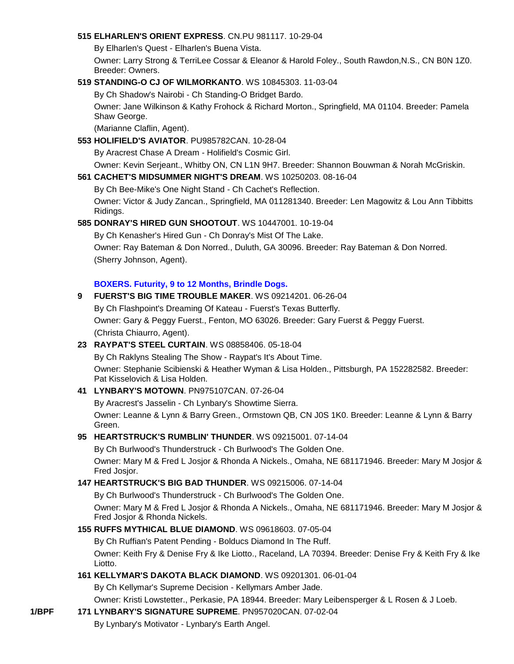#### **515 [ELHARLEN'S ORIENT EXPRESS](http://canis.infodog.com/files/bdogrsl1.prg;makc=CN.PU_981117;mdog=Elharlen_s_Orient_Express;wins=all)**. CN.PU 981117. 10-29-04

By Elharlen's Quest - Elharlen's Buena Vista.

Owner: Larry Strong & TerriLee Cossar & Eleanor & Harold Foley., South Rawdon,N.S., CN B0N 1Z0. Breeder: Owners.

### **519 [STANDING-O CJ OF WILMORKANTO](http://canis.infodog.com/files/bdogrsl1.prg;makc=WS_10845303;mdog=Standing-O_CJ_Of_Wilmorkanto;wins=all)**. WS 10845303. 11-03-04

By Ch Shadow's Nairobi - Ch Standing-O Bridget Bardo.

Owner: Jane Wilkinson & Kathy Frohock & Richard Morton., Springfield, MA 01104. Breeder: Pamela Shaw George.

(Marianne Claflin, Agent).

#### **553 [HOLIFIELD'S AVIATOR](http://canis.infodog.com/files/bdogrsl1.prg;makc=PU985782CAN;mdog=Holifield_s_Aviator;wins=all)**. PU985782CAN. 10-28-04

By Aracrest Chase A Dream - Holifield's Cosmic Girl.

Owner: Kevin Serjeant., Whitby ON, CN L1N 9H7. Breeder: Shannon Bouwman & Norah McGriskin.

### **561 [CACHET'S MIDSUMMER NIGHT'S DREAM](http://canis.infodog.com/files/bdogrsl1.prg;makc=WS_10250203;mdog=Cachet_s_Midsummer_Night_s_Dream;wins=all)**. WS 10250203. 08-16-04

By Ch Bee-Mike's One Night Stand - Ch Cachet's Reflection. Owner: Victor & Judy Zancan., Springfield, MA 011281340. Breeder: Len Magowitz & Lou Ann Tibbitts Ridings.

### **585 [DONRAY'S HIRED GUN SHOOTOUT](http://canis.infodog.com/files/bdogrsl1.prg;makc=WS_10447001;mdog=Donray_s_Hired_Gun_Shootout;wins=all)**. WS 10447001. 10-19-04

By Ch Kenasher's Hired Gun - Ch Donray's Mist Of The Lake. Owner: Ray Bateman & Don Norred., Duluth, GA 30096. Breeder: Ray Bateman & Don Norred. (Sherry Johnson, Agent).

### **BOXERS. Futurity, 9 to 12 Months, Brindle Dogs.**

# **9 [FUERST'S BIG TIME TROUBLE MAKER](http://canis.infodog.com/files/bdogrsl1.prg;makc=WS_09214201;mdog=Fuerst_s_Big_Time_Trouble_Maker;wins=all)**. WS 09214201. 06-26-04 By Ch Flashpoint's Dreaming Of Kateau - Fuerst's Texas Butterfly. Owner: Gary & Peggy Fuerst., Fenton, MO 63026. Breeder: Gary Fuerst & Peggy Fuerst. (Christa Chiaurro, Agent).

### **23 [RAYPAT'S STEEL CURTAIN](http://canis.infodog.com/files/bdogrsl1.prg;makc=WS_08858406;mdog=Raypat_s_Steel_Curtain;wins=all)**. WS 08858406. 05-18-04

By Ch Raklyns Stealing The Show - Raypat's It's About Time. Owner: Stephanie Scibienski & Heather Wyman & Lisa Holden., Pittsburgh, PA 152282582. Breeder: Pat Kisselovich & Lisa Holden.

### **41 [LYNBARY'S MOTOWN](http://canis.infodog.com/files/bdogrsl1.prg;makc=PN975107CAN;mdog=Lynbary_s_Motown;wins=all)**. PN975107CAN. 07-26-04

By Aracrest's Jasselin - Ch Lynbary's Showtime Sierra.

Owner: Leanne & Lynn & Barry Green., Ormstown QB, CN J0S 1K0. Breeder: Leanne & Lynn & Barry Green.

### **95 [HEARTSTRUCK'S RUMBLIN' THUNDER](http://canis.infodog.com/files/bdogrsl1.prg;makc=WS_09215001;mdog=Heartstruck_s_Rumblin__Thunder;wins=all)**. WS 09215001. 07-14-04

By Ch Burlwood's Thunderstruck - Ch Burlwood's The Golden One.

Owner: Mary M & Fred L Josjor & Rhonda A Nickels., Omaha, NE 681171946. Breeder: Mary M Josjor & Fred Josjor.

### **147 [HEARTSTRUCK'S BIG BAD THUNDER](http://canis.infodog.com/files/bdogrsl1.prg;makc=WS_09215006;mdog=Heartstruck_s_Big_Bad_Thunder;wins=all)**. WS 09215006. 07-14-04

By Ch Burlwood's Thunderstruck - Ch Burlwood's The Golden One.

Owner: Mary M & Fred L Josjor & Rhonda A Nickels., Omaha, NE 681171946. Breeder: Mary M Josjor & Fred Josjor & Rhonda Nickels.

### **155 [RUFFS MYTHICAL BLUE DIAMOND](http://canis.infodog.com/files/bdogrsl1.prg;makc=WS_09618603;mdog=Ruffs_Mythical_Blue_Diamond;wins=all)**. WS 09618603. 07-05-04

By Ch Ruffian's Patent Pending - Bolducs Diamond In The Ruff. Owner: Keith Fry & Denise Fry & Ike Liotto., Raceland, LA 70394. Breeder: Denise Fry & Keith Fry & Ike Liotto.

### **161 [KELLYMAR'S DAKOTA BLACK DIAMOND](http://canis.infodog.com/files/bdogrsl1.prg;makc=WS_09201301;mdog=Kellymar_s_Dakota_Black_Diamond;wins=all)**. WS 09201301. 06-01-04

By Ch Kellymar's Supreme Decision - Kellymars Amber Jade.

Owner: Kristi Lowstetter., Perkasie, PA 18944. Breeder: Mary Leibensperger & L Rosen & J Loeb.

**1/BPF 171 [LYNBARY'S SIGNATURE SUPREME](http://canis.infodog.com/files/bdogrsl1.prg;makc=PN957020CAN;mdog=Lynbary_s_Signature_Supreme;wins=all)**. PN957020CAN. 07-02-04 By Lynbary's Motivator - Lynbary's Earth Angel.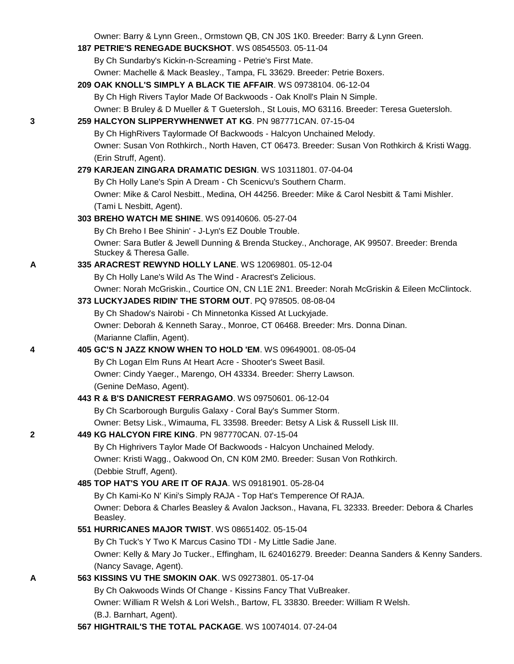Owner: Barry & Lynn Green., Ormstown QB, CN J0S 1K0. Breeder: Barry & Lynn Green.

|   | $\mathcal{L}$ and $\mathcal{L}$ bany $\alpha$ Exhin Orders, Omnotown QD, ON 000 TRO. Drocads. Dairy $\alpha$ Exhin Orders. |  |
|---|----------------------------------------------------------------------------------------------------------------------------|--|
|   | 187 PETRIE'S RENEGADE BUCKSHOT. WS 08545503. 05-11-04                                                                      |  |
|   | By Ch Sundarby's Kickin-n-Screaming - Petrie's First Mate.                                                                 |  |
|   | Owner: Machelle & Mack Beasley., Tampa, FL 33629. Breeder: Petrie Boxers.                                                  |  |
|   | 209 OAK KNOLL'S SIMPLY A BLACK TIE AFFAIR. WS 09738104. 06-12-04                                                           |  |
|   | By Ch High Rivers Taylor Made Of Backwoods - Oak Knoll's Plain N Simple.                                                   |  |
|   | Owner: B Bruley & D Mueller & T Guetersloh., St Louis, MO 63116. Breeder: Teresa Guetersloh.                               |  |
| 3 | 259 HALCYON SLIPPERYWHENWET AT KG. PN 987771CAN. 07-15-04                                                                  |  |
|   | By Ch HighRivers Taylormade Of Backwoods - Halcyon Unchained Melody.                                                       |  |
|   | Owner: Susan Von Rothkirch., North Haven, CT 06473. Breeder: Susan Von Rothkirch & Kristi Wagg.                            |  |
|   | (Erin Struff, Agent).                                                                                                      |  |
|   | 279 KARJEAN ZINGARA DRAMATIC DESIGN. WS 10311801. 07-04-04                                                                 |  |
|   | By Ch Holly Lane's Spin A Dream - Ch Scenicvu's Southern Charm.                                                            |  |
|   | Owner: Mike & Carol Nesbitt., Medina, OH 44256. Breeder: Mike & Carol Nesbitt & Tami Mishler.                              |  |
|   | (Tami L Nesbitt, Agent).                                                                                                   |  |
|   | 303 BREHO WATCH ME SHINE. WS 09140606. 05-27-04                                                                            |  |
|   | By Ch Breho I Bee Shinin' - J-Lyn's EZ Double Trouble.                                                                     |  |
|   | Owner: Sara Butler & Jewell Dunning & Brenda Stuckey., Anchorage, AK 99507. Breeder: Brenda                                |  |
|   | Stuckey & Theresa Galle.                                                                                                   |  |
| A | 335 ARACREST REWYND HOLLY LANE. WS 12069801. 05-12-04                                                                      |  |
|   | By Ch Holly Lane's Wild As The Wind - Aracrest's Zelicious.                                                                |  |
|   | Owner: Norah McGriskin., Courtice ON, CN L1E 2N1. Breeder: Norah McGriskin & Eileen McClintock.                            |  |
|   | 373 LUCKYJADES RIDIN' THE STORM OUT. PQ 978505. 08-08-04                                                                   |  |
|   | By Ch Shadow's Nairobi - Ch Minnetonka Kissed At Luckyjade.                                                                |  |
|   | Owner: Deborah & Kenneth Saray., Monroe, CT 06468. Breeder: Mrs. Donna Dinan.                                              |  |
|   | (Marianne Claflin, Agent).                                                                                                 |  |
| 4 | 405 GC'S N JAZZ KNOW WHEN TO HOLD 'EM. WS 09649001. 08-05-04                                                               |  |
|   | By Ch Logan Elm Runs At Heart Acre - Shooter's Sweet Basil.                                                                |  |
|   | Owner: Cindy Yaeger., Marengo, OH 43334. Breeder: Sherry Lawson.                                                           |  |
|   | (Genine DeMaso, Agent).                                                                                                    |  |
|   | 443 R & B'S DANICREST FERRAGAMO, WS 09750601, 06-12-04                                                                     |  |
|   | By Ch Scarborough Burgulis Galaxy - Coral Bay's Summer Storm.                                                              |  |
|   | Owner: Betsy Lisk., Wimauma, FL 33598. Breeder: Betsy A Lisk & Russell Lisk III.                                           |  |
| 2 | 449 KG HALCYON FIRE KING, PN 987770CAN, 07-15-04                                                                           |  |
|   | By Ch Highrivers Taylor Made Of Backwoods - Halcyon Unchained Melody.                                                      |  |
|   | Owner: Kristi Wagg., Oakwood On, CN K0M 2M0. Breeder: Susan Von Rothkirch.                                                 |  |
|   | (Debbie Struff, Agent).                                                                                                    |  |
|   | 485 TOP HAT'S YOU ARE IT OF RAJA. WS 09181901. 05-28-04                                                                    |  |
|   | By Ch Kami-Ko N' Kini's Simply RAJA - Top Hat's Temperence Of RAJA.                                                        |  |
|   | Owner: Debora & Charles Beasley & Avalon Jackson., Havana, FL 32333. Breeder: Debora & Charles<br>Beasley.                 |  |
|   | 551 HURRICANES MAJOR TWIST. WS 08651402. 05-15-04                                                                          |  |
|   | By Ch Tuck's Y Two K Marcus Casino TDI - My Little Sadie Jane.                                                             |  |
|   | Owner: Kelly & Mary Jo Tucker., Effingham, IL 624016279. Breeder: Deanna Sanders & Kenny Sanders.                          |  |
|   | (Nancy Savage, Agent).                                                                                                     |  |
| A | 563 KISSINS VU THE SMOKIN OAK. WS 09273801. 05-17-04                                                                       |  |
|   | By Ch Oakwoods Winds Of Change - Kissins Fancy That VuBreaker.                                                             |  |
|   | Owner: William R Welsh & Lori Welsh., Bartow, FL 33830. Breeder: William R Welsh.                                          |  |
|   | (B.J. Barnhart, Agent).                                                                                                    |  |
|   | 567 HIGHTRAIL'S THE TOTAL PACKAGE. WS 10074014. 07-24-04                                                                   |  |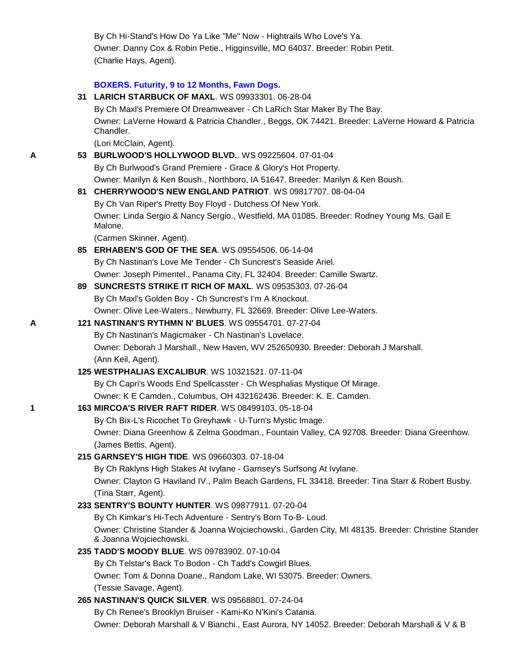By Ch Hi-Stand's How Do Ya Like "Me" Now - Hightrails Who Love's Ya. Owner: Danny Cox & Robin Petie., Higginsville, MO 64037. Breeder: Robin Petit. (Charlie Hays, Agent).

### **BOXERS. Futurity, 9 to 12 Months, Fawn Dogs.**

|   | 31 LARICH STARBUCK OF MAXL. WS 09933301. 06-28-04                                                                                                                         |
|---|---------------------------------------------------------------------------------------------------------------------------------------------------------------------------|
|   | By Ch Maxl's Premiere Of Dreamweaver - Ch LaRich Star Maker By The Bay.                                                                                                   |
|   | Owner: LaVerne Howard & Patricia Chandler., Beggs, OK 74421. Breeder: LaVerne Howard & Patricia<br>Chandler.                                                              |
|   | (Lori McClain, Agent).                                                                                                                                                    |
| A | 53 BURLWOOD'S HOLLYWOOD BLVD WS 09225604. 07-01-04                                                                                                                        |
|   | By Ch Burlwood's Grand Premiere - Grace & Glory's Hot Property.                                                                                                           |
|   | Owner: Marilyn & Ken Boush., Northboro, IA 51647. Breeder: Marilyn & Ken Boush.                                                                                           |
|   | 81 CHERRYWOOD'S NEW ENGLAND PATRIOT. WS 09817707. 08-04-04                                                                                                                |
|   | By Ch Van Riper's Pretty Boy Floyd - Dutchess Of New York.                                                                                                                |
|   | Owner: Linda Sergio & Nancy Sergio., Westfield, MA 01085. Breeder: Rodney Young Ms. Gail E<br>Malone.                                                                     |
|   | (Carmen Skinner, Agent).                                                                                                                                                  |
|   | 85 ERHABEN'S GOD OF THE SEA. WS 09554506. 06-14-04                                                                                                                        |
|   | By Ch Nastinan's Love Me Tender - Ch Suncrest's Seaside Ariel.                                                                                                            |
|   | Owner: Joseph Pimentel., Panama City, FL 32404. Breeder: Camille Swartz.                                                                                                  |
|   | 89 SUNCRESTS STRIKE IT RICH OF MAXL. WS 09535303. 07-26-04                                                                                                                |
|   | By Ch Maxl's Golden Boy - Ch Suncrest's I'm A Knockout.                                                                                                                   |
|   | Owner: Olive Lee-Waters., Newburry, FL 32669. Breeder: Olive Lee-Waters.                                                                                                  |
| Α | 121 NASTINAN'S RYTHMN N' BLUES. WS 09554701. 07-27-04                                                                                                                     |
|   | By Ch Nastinan's Magicmaker - Ch Nastinan's Lovelace.                                                                                                                     |
|   | Owner: Deborah J Marshall., New Haven, WV 252650930. Breeder: Deborah J Marshall.                                                                                         |
|   | (Ann Keil, Agent).                                                                                                                                                        |
|   | 125 WESTPHALIAS EXCALIBUR. WS 10321521. 07-11-04                                                                                                                          |
|   | By Ch Capri's Woods End Spellcasster - Ch Wesphalias Mystique Of Mirage.                                                                                                  |
|   | Owner: K E Camden., Columbus, OH 432162436. Breeder: K. E. Camden.                                                                                                        |
| 1 | 163 MIRCOA'S RIVER RAFT RIDER. WS 08499103. 05-18-04                                                                                                                      |
|   | By Ch Bix-L's Ricochet To Greyhawk - U-Turn's Mystic Image.                                                                                                               |
|   | Owner: Diana Greenhow & Zelma Goodman., Fountain Valley, CA 92708. Breeder: Diana Greenhow.                                                                               |
|   | (James Bettis, Agent).<br>215 GARNSEY'S HIGH TIDE. WS 09660303. 07-18-04                                                                                                  |
|   |                                                                                                                                                                           |
|   | By Ch Raklyns High Stakes At Ivylane - Garnsey's Surfsong At Ivylane.<br>Owner: Clayton G Haviland IV., Palm Beach Gardens, FL 33418. Breeder: Tina Starr & Robert Busby. |
|   | (Tina Starr, Agent).                                                                                                                                                      |
|   | 233 SENTRY'S BOUNTY HUNTER. WS 09877911. 07-20-04                                                                                                                         |
|   | By Ch Kimkar's Hi-Tech Adventure - Sentry's Born To-B- Loud.                                                                                                              |
|   | Owner: Christine Stander & Joanna Wojciechowski., Garden City, MI 48135. Breeder: Christine Stander                                                                       |
|   | & Joanna Wojciechowski.                                                                                                                                                   |
|   | 235 TADD'S MOODY BLUE. WS 09783902. 07-10-04                                                                                                                              |
|   | By Ch Telstar's Back To Bodon - Ch Tadd's Cowgirl Blues.                                                                                                                  |
|   | Owner: Tom & Donna Doane., Random Lake, WI 53075. Breeder: Owners.                                                                                                        |
|   | (Tessie Savage, Agent).                                                                                                                                                   |
|   | 265 NASTINAN'S QUICK SILVER. WS 09568801. 07-24-04                                                                                                                        |
|   | By Ch Renee's Brooklyn Bruiser - Kami-Ko N'Kini's Catania.                                                                                                                |
|   | Owner: Deborah Marshall & V Bianchi., East Aurora, NY 14052. Breeder: Deborah Marshall & V & B                                                                            |
|   |                                                                                                                                                                           |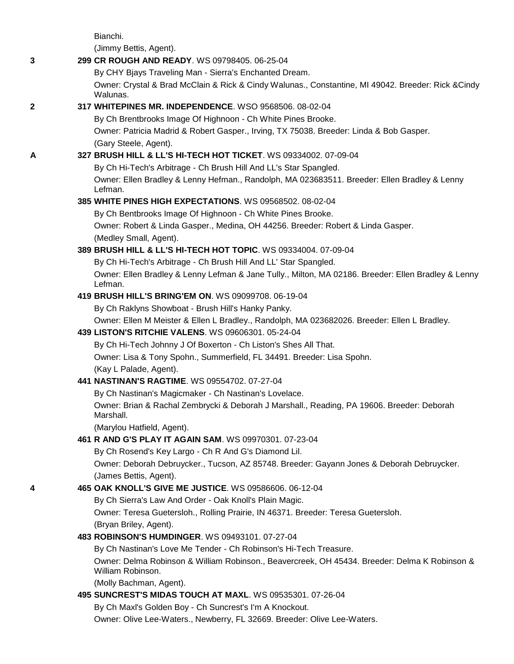|   | Bianchi.                                                                                                           |
|---|--------------------------------------------------------------------------------------------------------------------|
|   | (Jimmy Bettis, Agent).                                                                                             |
| 3 | 299 CR ROUGH AND READY. WS 09798405. 06-25-04                                                                      |
|   | By CHY Bjays Traveling Man - Sierra's Enchanted Dream.                                                             |
|   | Owner: Crystal & Brad McClain & Rick & Cindy Walunas., Constantine, MI 49042. Breeder: Rick & Cindy<br>Walunas.    |
| 2 | 317 WHITEPINES MR. INDEPENDENCE. WSO 9568506. 08-02-04                                                             |
|   | By Ch Brentbrooks Image Of Highnoon - Ch White Pines Brooke.                                                       |
|   | Owner: Patricia Madrid & Robert Gasper., Irving, TX 75038. Breeder: Linda & Bob Gasper.                            |
|   | (Gary Steele, Agent).                                                                                              |
| A | 327 BRUSH HILL & LL'S HI-TECH HOT TICKET. WS 09334002. 07-09-04                                                    |
|   | By Ch Hi-Tech's Arbitrage - Ch Brush Hill And LL's Star Spangled.                                                  |
|   | Owner: Ellen Bradley & Lenny Hefman., Randolph, MA 023683511. Breeder: Ellen Bradley & Lenny<br>Lefman.            |
|   | 385 WHITE PINES HIGH EXPECTATIONS, WS 09568502, 08-02-04                                                           |
|   | By Ch Bentbrooks Image Of Highnoon - Ch White Pines Brooke.                                                        |
|   | Owner: Robert & Linda Gasper., Medina, OH 44256. Breeder: Robert & Linda Gasper.                                   |
|   | (Medley Small, Agent).                                                                                             |
|   | 389 BRUSH HILL & LL'S HI-TECH HOT TOPIC. WS 09334004. 07-09-04                                                     |
|   | By Ch Hi-Tech's Arbitrage - Ch Brush Hill And LL' Star Spangled.                                                   |
|   | Owner: Ellen Bradley & Lenny Lefman & Jane Tully., Milton, MA 02186. Breeder: Ellen Bradley & Lenny<br>Lefman.     |
|   | 419 BRUSH HILL'S BRING'EM ON. WS 09099708. 06-19-04                                                                |
|   | By Ch Raklyns Showboat - Brush Hill's Hanky Panky.                                                                 |
|   | Owner: Ellen M Meister & Ellen L Bradley., Randolph, MA 023682026. Breeder: Ellen L Bradley.                       |
|   | 439 LISTON'S RITCHIE VALENS. WS 09606301. 05-24-04                                                                 |
|   | By Ch Hi-Tech Johnny J Of Boxerton - Ch Liston's Shes All That.                                                    |
|   | Owner: Lisa & Tony Spohn., Summerfield, FL 34491. Breeder: Lisa Spohn.                                             |
|   | (Kay L Palade, Agent).                                                                                             |
|   | 441 NASTINAN'S RAGTIME. WS 09554702. 07-27-04                                                                      |
|   | By Ch Nastinan's Magicmaker - Ch Nastinan's Lovelace.                                                              |
|   | Owner: Brian & Rachal Zembrycki & Deborah J Marshall., Reading, PA 19606. Breeder: Deborah<br>Marshall.            |
|   | (Marylou Hatfield, Agent).                                                                                         |
|   | 461 R AND G'S PLAY IT AGAIN SAM, WS 09970301, 07-23-04                                                             |
|   | By Ch Rosend's Key Largo - Ch R And G's Diamond Lil.                                                               |
|   | Owner: Deborah Debruycker., Tucson, AZ 85748. Breeder: Gayann Jones & Deborah Debruycker.                          |
|   | (James Bettis, Agent).                                                                                             |
| 4 | 465 OAK KNOLL'S GIVE ME JUSTICE. WS 09586606. 06-12-04                                                             |
|   | By Ch Sierra's Law And Order - Oak Knoll's Plain Magic.                                                            |
|   | Owner: Teresa Guetersloh., Rolling Prairie, IN 46371. Breeder: Teresa Guetersloh.                                  |
|   | (Bryan Briley, Agent).                                                                                             |
|   | 483 ROBINSON'S HUMDINGER. WS 09493101. 07-27-04                                                                    |
|   | By Ch Nastinan's Love Me Tender - Ch Robinson's Hi-Tech Treasure.                                                  |
|   | Owner: Delma Robinson & William Robinson., Beavercreek, OH 45434. Breeder: Delma K Robinson &<br>William Robinson. |
|   | (Molly Bachman, Agent).                                                                                            |
|   | 495 SUNCREST'S MIDAS TOUCH AT MAXL. WS 09535301. 07-26-04                                                          |
|   | By Ch Maxl's Golden Boy - Ch Suncrest's I'm A Knockout.                                                            |
|   | Owner: Olive Lee-Waters., Newberry, FL 32669. Breeder: Olive Lee-Waters.                                           |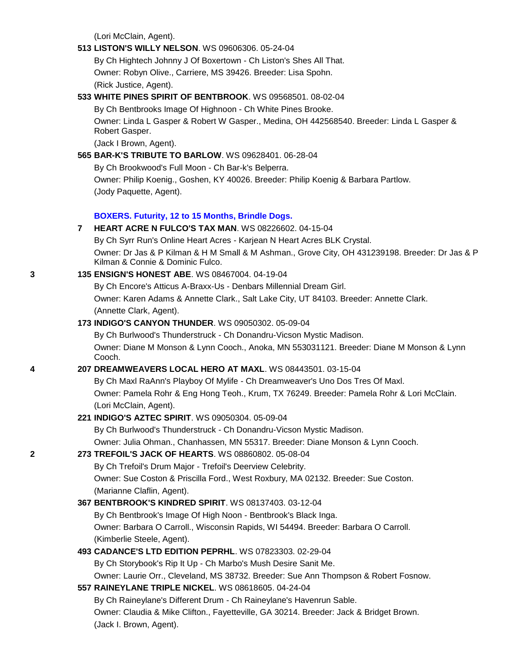(Lori McClain, Agent).

### **513 [LISTON'S WILLY NELSON](http://canis.infodog.com/files/bdogrsl1.prg;makc=WS_09606306;mdog=Liston_s_Willy_Nelson;wins=all)**. WS 09606306. 05-24-04

By Ch Hightech Johnny J Of Boxertown - Ch Liston's Shes All That. Owner: Robyn Olive., Carriere, MS 39426. Breeder: Lisa Spohn. (Rick Justice, Agent).

### **533 [WHITE PINES SPIRIT OF BENTBROOK](http://canis.infodog.com/files/bdogrsl1.prg;makc=WS_09568501;mdog=White_Pines_Spirit_Of_Bentbrook;wins=all)**. WS 09568501. 08-02-04

By Ch Bentbrooks Image Of Highnoon - Ch White Pines Brooke.

Owner: Linda L Gasper & Robert W Gasper., Medina, OH 442568540. Breeder: Linda L Gasper & Robert Gasper.

(Jack I Brown, Agent).

### **565 [BAR-K'S TRIBUTE TO BARLOW](http://canis.infodog.com/files/bdogrsl1.prg;makc=WS_09628401;mdog=Bar-K_s_Tribute_To_Barlow;wins=all)**. WS 09628401. 06-28-04

By Ch Brookwood's Full Moon - Ch Bar-k's Belperra.

Owner: Philip Koenig., Goshen, KY 40026. Breeder: Philip Koenig & Barbara Partlow. (Jody Paquette, Agent).

### **BOXERS. Futurity, 12 to 15 Months, Brindle Dogs.**

#### **7 [HEART ACRE N FULCO'S TAX MAN](http://canis.infodog.com/files/bdogrsl1.prg;makc=WS_08226602;mdog=Heart_Acre_N_Fulco_s_Tax_Man;wins=all)**. WS 08226602. 04-15-04

By Ch Syrr Run's Online Heart Acres - Karjean N Heart Acres BLK Crystal. Owner: Dr Jas & P Kilman & H M Small & M Ashman., Grove City, OH 431239198. Breeder: Dr Jas & P Kilman & Connie & Dominic Fulco.

### **3 135 [ENSIGN'S HONEST ABE](http://canis.infodog.com/files/bdogrsl1.prg;makc=WS_08467004;mdog=Ensign_s_Honest_Abe;wins=all)**. WS 08467004. 04-19-04

By Ch Encore's Atticus A-Braxx-Us - Denbars Millennial Dream Girl.

Owner: Karen Adams & Annette Clark., Salt Lake City, UT 84103. Breeder: Annette Clark. (Annette Clark, Agent).

### **173 [INDIGO'S CANYON THUNDER](http://canis.infodog.com/files/bdogrsl1.prg;makc=WS_09050302;mdog=Indigo_s_Canyon_Thunder;wins=all)**. WS 09050302. 05-09-04

By Ch Burlwood's Thunderstruck - Ch Donandru-Vicson Mystic Madison. Owner: Diane M Monson & Lynn Cooch., Anoka, MN 553031121. Breeder: Diane M Monson & Lynn Cooch.

### **4 207 [DREAMWEAVERS LOCAL HERO AT MAXL](http://canis.infodog.com/files/bdogrsl1.prg;makc=WS_08443501;mdog=Dreamweavers_Local_Hero_At_Maxl;wins=all)**. WS 08443501. 03-15-04

By Ch Maxl RaAnn's Playboy Of Mylife - Ch Dreamweaver's Uno Dos Tres Of Maxl. Owner: Pamela Rohr & Eng Hong Teoh., Krum, TX 76249. Breeder: Pamela Rohr & Lori McClain. (Lori McClain, Agent).

### **221 [INDIGO'S AZTEC SPIRIT](http://canis.infodog.com/files/bdogrsl1.prg;makc=WS_09050304;mdog=Indigo_s_Aztec_Spirit;wins=all)**. WS 09050304. 05-09-04

By Ch Burlwood's Thunderstruck - Ch Donandru-Vicson Mystic Madison.

Owner: Julia Ohman., Chanhassen, MN 55317. Breeder: Diane Monson & Lynn Cooch.

# **2 273 [TREFOIL'S JACK OF HEARTS](http://canis.infodog.com/files/bdogrsl1.prg;makc=WS_08860802;mdog=Trefoil_s_Jack_Of_Hearts;wins=all)**. WS 08860802. 05-08-04

By Ch Trefoil's Drum Major - Trefoil's Deerview Celebrity.

Owner: Sue Coston & Priscilla Ford., West Roxbury, MA 02132. Breeder: Sue Coston. (Marianne Claflin, Agent).

### **367 [BENTBROOK'S KINDRED SPIRIT](http://canis.infodog.com/files/bdogrsl1.prg;makc=WS_08137403;mdog=Bentbrook_s_Kindred_Spirit;wins=all)**. WS 08137403. 03-12-04

By Ch Bentbrook's Image Of High Noon - Bentbrook's Black Inga. Owner: Barbara O Carroll., Wisconsin Rapids, WI 54494. Breeder: Barbara O Carroll. (Kimberlie Steele, Agent).

### **493 [CADANCE'S LTD EDITION PEPRHL](http://canis.infodog.com/files/bdogrsl1.prg;makc=WS_07823303;mdog=Cadance_s_Ltd_Edition_Peprhl;wins=all)**. WS 07823303. 02-29-04

By Ch Storybook's Rip It Up - Ch Marbo's Mush Desire Sanit Me.

Owner: Laurie Orr., Cleveland, MS 38732. Breeder: Sue Ann Thompson & Robert Fosnow.

### **557 [RAINEYLANE TRIPLE NICKEL](http://canis.infodog.com/files/bdogrsl1.prg;makc=WS_08618605;mdog=Raineylane_Triple_Nickel;wins=all)**. WS 08618605. 04-24-04

By Ch Raineylane's Different Drum - Ch Raineylane's Havenrun Sable. Owner: Claudia & Mike Clifton., Fayetteville, GA 30214. Breeder: Jack & Bridget Brown. (Jack I. Brown, Agent).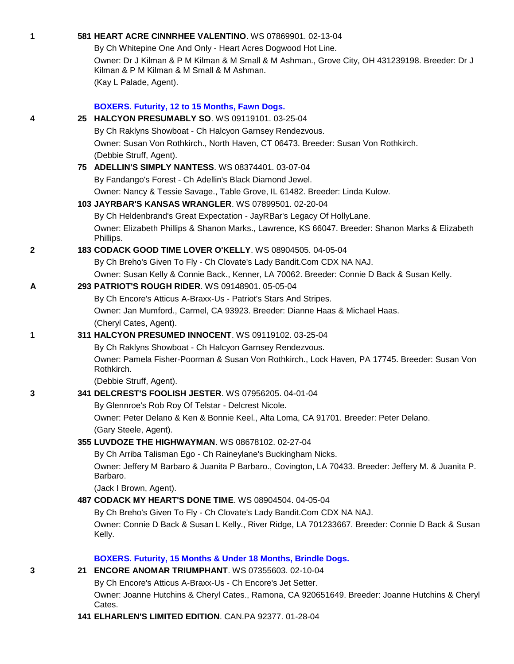| 1            | 581 HEART ACRE CINNRHEE VALENTINO. WS 07869901. 02-13-04                                                    |
|--------------|-------------------------------------------------------------------------------------------------------------|
|              | By Ch Whitepine One And Only - Heart Acres Dogwood Hot Line.                                                |
|              | Owner: Dr J Kilman & P M Kilman & M Small & M Ashman., Grove City, OH 431239198. Breeder: Dr J              |
|              | Kilman & P M Kilman & M Small & M Ashman.                                                                   |
|              | (Kay L Palade, Agent).                                                                                      |
|              | BOXERS. Futurity, 12 to 15 Months, Fawn Dogs.                                                               |
|              | 25 HALCYON PRESUMABLY SO. WS 09119101. 03-25-04                                                             |
| 4            | By Ch Raklyns Showboat - Ch Halcyon Garnsey Rendezvous.                                                     |
|              | Owner: Susan Von Rothkirch., North Haven, CT 06473. Breeder: Susan Von Rothkirch.                           |
|              | (Debbie Struff, Agent).                                                                                     |
|              | 75 ADELLIN'S SIMPLY NANTESS. WS 08374401. 03-07-04                                                          |
|              | By Fandango's Forest - Ch Adellin's Black Diamond Jewel.                                                    |
|              | Owner: Nancy & Tessie Savage., Table Grove, IL 61482. Breeder: Linda Kulow.                                 |
|              | 103 JAYRBAR'S KANSAS WRANGLER. WS 07899501. 02-20-04                                                        |
|              | By Ch Heldenbrand's Great Expectation - JayRBar's Legacy Of HollyLane.                                      |
|              | Owner: Elizabeth Phillips & Shanon Marks., Lawrence, KS 66047. Breeder: Shanon Marks & Elizabeth            |
|              | Phillips.                                                                                                   |
| $\mathbf{2}$ | 183 CODACK GOOD TIME LOVER O'KELLY. WS 08904505. 04-05-04                                                   |
|              | By Ch Breho's Given To Fly - Ch Clovate's Lady Bandit.Com CDX NA NAJ.                                       |
|              | Owner: Susan Kelly & Connie Back., Kenner, LA 70062. Breeder: Connie D Back & Susan Kelly.                  |
| A            | 293 PATRIOT'S ROUGH RIDER. WS 09148901. 05-05-04                                                            |
|              | By Ch Encore's Atticus A-Braxx-Us - Patriot's Stars And Stripes.                                            |
|              | Owner: Jan Mumford., Carmel, CA 93923. Breeder: Dianne Haas & Michael Haas.                                 |
|              | (Cheryl Cates, Agent).                                                                                      |
| 1            | 311 HALCYON PRESUMED INNOCENT. WS 09119102. 03-25-04                                                        |
|              | By Ch Raklyns Showboat - Ch Halcyon Garnsey Rendezvous.                                                     |
|              | Owner: Pamela Fisher-Poorman & Susan Von Rothkirch., Lock Haven, PA 17745. Breeder: Susan Von<br>Rothkirch. |
|              | (Debbie Struff, Agent).                                                                                     |
| 3            | 341 DELCREST'S FOOLISH JESTER. WS 07956205. 04-01-04                                                        |
|              | By Glennroe's Rob Roy Of Telstar - Delcrest Nicole.                                                         |
|              | Owner: Peter Delano & Ken & Bonnie Keel., Alta Loma, CA 91701. Breeder: Peter Delano.                       |
|              | (Gary Steele, Agent).                                                                                       |
|              | 355 LUVDOZE THE HIGHWAYMAN. WS 08678102. 02-27-04                                                           |
|              | By Ch Arriba Talisman Ego - Ch Raineylane's Buckingham Nicks.                                               |
|              | Owner: Jeffery M Barbaro & Juanita P Barbaro., Covington, LA 70433. Breeder: Jeffery M. & Juanita P.        |
|              | Barbaro.                                                                                                    |
|              | (Jack I Brown, Agent).                                                                                      |
|              | 487 CODACK MY HEART'S DONE TIME. WS 08904504, 04-05-04                                                      |
|              | By Ch Breho's Given To Fly - Ch Clovate's Lady Bandit.Com CDX NA NAJ.                                       |
|              | Owner: Connie D Back & Susan L Kelly., River Ridge, LA 701233667. Breeder: Connie D Back & Susan<br>Kelly.  |
|              | BOXERS. Futurity, 15 Months & Under 18 Months, Brindle Dogs.                                                |
| 3            | 21 ENCORE ANOMAR TRIUMPHANT. WS 07355603. 02-10-04                                                          |
|              | By Ch Encore's Atticus A-Braxx-Us - Ch Encore's Jet Setter.                                                 |
|              | Owner: Joanne Hutchins & Cheryl Cates., Ramona, CA 920651649. Breeder: Joanne Hutchins & Cheryl<br>Cates.   |
|              | 141 ELHARLEN'S LIMITED EDITION. CAN.PA 92377. 01-28-04                                                      |
|              |                                                                                                             |
|              |                                                                                                             |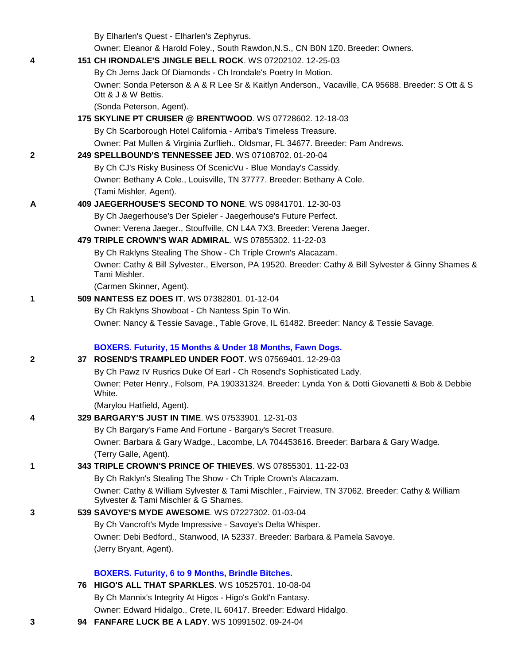|   | By Elharlen's Quest - Elharlen's Zephyrus.                                                                                               |
|---|------------------------------------------------------------------------------------------------------------------------------------------|
|   | Owner: Eleanor & Harold Foley., South Rawdon, N.S., CN B0N 1Z0. Breeder: Owners.                                                         |
| 4 | 151 CH IRONDALE'S JINGLE BELL ROCK. WS 07202102. 12-25-03                                                                                |
|   | By Ch Jems Jack Of Diamonds - Ch Irondale's Poetry In Motion.                                                                            |
|   | Owner: Sonda Peterson & A & R Lee Sr & Kaitlyn Anderson., Vacaville, CA 95688. Breeder: S Ott & S<br>Ott & J & W Bettis.                 |
|   | (Sonda Peterson, Agent).                                                                                                                 |
|   | 175 SKYLINE PT CRUISER @ BRENTWOOD. WS 07728602. 12-18-03                                                                                |
|   | By Ch Scarborough Hotel California - Arriba's Timeless Treasure.                                                                         |
|   | Owner: Pat Mullen & Virginia Zurflieh., Oldsmar, FL 34677. Breeder: Pam Andrews.                                                         |
| 2 | 249 SPELLBOUND'S TENNESSEE JED. WS 07108702. 01-20-04                                                                                    |
|   | By Ch CJ's Risky Business Of ScenicVu - Blue Monday's Cassidy.                                                                           |
|   | Owner: Bethany A Cole., Louisville, TN 37777. Breeder: Bethany A Cole.                                                                   |
|   | (Tami Mishler, Agent).                                                                                                                   |
| A | 409 JAEGERHOUSE'S SECOND TO NONE. WS 09841701. 12-30-03                                                                                  |
|   | By Ch Jaegerhouse's Der Spieler - Jaegerhouse's Future Perfect.                                                                          |
|   | Owner: Verena Jaeger., Stouffville, CN L4A 7X3. Breeder: Verena Jaeger.                                                                  |
|   | 479 TRIPLE CROWN'S WAR ADMIRAL. WS 07855302. 11-22-03                                                                                    |
|   | By Ch Raklyns Stealing The Show - Ch Triple Crown's Alacazam.                                                                            |
|   | Owner: Cathy & Bill Sylvester., Elverson, PA 19520. Breeder: Cathy & Bill Sylvester & Ginny Shames &<br>Tami Mishler.                    |
|   | (Carmen Skinner, Agent).                                                                                                                 |
| 1 | 509 NANTESS EZ DOES IT. WS 07382801. 01-12-04                                                                                            |
|   | By Ch Raklyns Showboat - Ch Nantess Spin To Win.                                                                                         |
|   | Owner: Nancy & Tessie Savage., Table Grove, IL 61482. Breeder: Nancy & Tessie Savage.                                                    |
|   | BOXERS. Futurity, 15 Months & Under 18 Months, Fawn Dogs.                                                                                |
| 2 | 37 ROSEND'S TRAMPLED UNDER FOOT. WS 07569401. 12-29-03                                                                                   |
|   | By Ch Pawz IV Rusrics Duke Of Earl - Ch Rosend's Sophisticated Lady.                                                                     |
|   | Owner: Peter Henry., Folsom, PA 190331324. Breeder: Lynda Yon & Dotti Giovanetti & Bob & Debbie<br>White.                                |
|   | (Marylou Hatfield, Agent).                                                                                                               |
| 4 | 329 BARGARY'S JUST IN TIME. WS 07533901. 12-31-03                                                                                        |
|   | By Ch Bargary's Fame And Fortune - Bargary's Secret Treasure.                                                                            |
|   | Owner: Barbara & Gary Wadge., Lacombe, LA 704453616. Breeder: Barbara & Gary Wadge.                                                      |
|   | (Terry Galle, Agent).                                                                                                                    |
| 1 | 343 TRIPLE CROWN'S PRINCE OF THIEVES. WS 07855301. 11-22-03                                                                              |
|   | By Ch Raklyn's Stealing The Show - Ch Triple Crown's Alacazam.                                                                           |
|   | Owner: Cathy & William Sylvester & Tami Mischler., Fairview, TN 37062. Breeder: Cathy & William<br>Sylvester & Tami Mischler & G Shames. |
| 3 | 539 SAVOYE'S MYDE AWESOME. WS 07227302. 01-03-04                                                                                         |
|   | By Ch Vancroft's Myde Impressive - Savoye's Delta Whisper.                                                                               |
|   | Owner: Debi Bedford., Stanwood, IA 52337. Breeder: Barbara & Pamela Savoye.                                                              |
|   | (Jerry Bryant, Agent).                                                                                                                   |
|   | <b>BOXERS. Futurity, 6 to 9 Months, Brindle Bitches.</b>                                                                                 |
|   | 76 HIGO'S ALL THAT SPARKLES. WS 10525701. 10-08-04                                                                                       |
|   | By Ch Mannix's Integrity At Higos - Higo's Gold'n Fantasy.                                                                               |
|   | Owner: Edward Hidalgo., Crete, IL 60417. Breeder: Edward Hidalgo.                                                                        |

**3 94 [FANFARE LUCK BE](http://canis.infodog.com/files/bdogrsl1.prg;makc=WS_10991502;mdog=Fanfare_Luck_Be_A_Lady;wins=all) A LADY**. WS 10991502. 09-24-04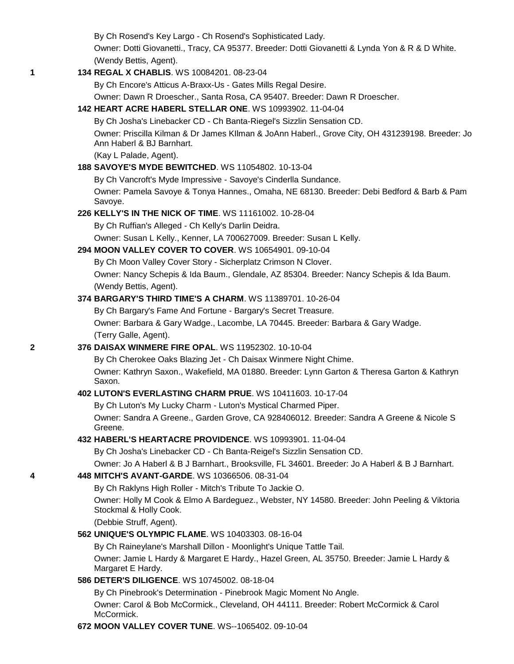By Ch Rosend's Key Largo - Ch Rosend's Sophisticated Lady.

Owner: Dotti Giovanetti., Tracy, CA 95377. Breeder: Dotti Giovanetti & Lynda Yon & R & D White. (Wendy Bettis, Agent).

### **1 134 [REGAL X CHABLIS](http://canis.infodog.com/files/bdogrsl1.prg;makc=WS_10084201;mdog=Regal_X_Chablis;wins=all)**. WS 10084201. 08-23-04

By Ch Encore's Atticus A-Braxx-Us - Gates Mills Regal Desire.

Owner: Dawn R Droescher., Santa Rosa, CA 95407. Breeder: Dawn R Droescher.

### **142 [HEART ACRE HABERL STELLAR ONE](http://canis.infodog.com/files/bdogrsl1.prg;makc=WS_10993902;mdog=Heart_Acre_Haberl_Stellar_One;wins=all)**. WS 10993902. 11-04-04

By Ch Josha's Linebacker CD - Ch Banta-Riegel's Sizzlin Sensation CD.

Owner: Priscilla Kilman & Dr James KIlman & JoAnn Haberl., Grove City, OH 431239198. Breeder: Jo Ann Haberl & BJ Barnhart.

(Kay L Palade, Agent).

### **188 [SAVOYE'S MYDE BEWITCHED](http://canis.infodog.com/files/bdogrsl1.prg;makc=WS_11054802;mdog=Savoye_s_Myde_Bewitched;wins=all)**. WS 11054802. 10-13-04

By Ch Vancroft's Myde Impressive - Savoye's Cinderlla Sundance.

Owner: Pamela Savoye & Tonya Hannes., Omaha, NE 68130. Breeder: Debi Bedford & Barb & Pam Savoye.

#### **226 [KELLY'S IN THE NICK OF TIME](http://canis.infodog.com/files/bdogrsl1.prg;makc=WS_11161002;mdog=Kelly_s_In_The_Nick_Of_Time;wins=all)**. WS 11161002. 10-28-04

By Ch Ruffian's Alleged - Ch Kelly's Darlin Deidra.

Owner: Susan L Kelly., Kenner, LA 700627009. Breeder: Susan L Kelly.

### **294 [MOON VALLEY COVER TO COVER](http://canis.infodog.com/files/bdogrsl1.prg;makc=WS_10654901;mdog=Moon_Valley_Cover_To_Cover;wins=all)**. WS 10654901. 09-10-04

By Ch Moon Valley Cover Story - Sicherplatz Crimson N Clover. Owner: Nancy Schepis & Ida Baum., Glendale, AZ 85304. Breeder: Nancy Schepis & Ida Baum. (Wendy Bettis, Agent).

### **374 [BARGARY'S THIRD TIME'S A CHARM](http://canis.infodog.com/files/bdogrsl1.prg;makc=WS_11389701;mdog=Bargary_s_Third_Time_s_A_Charm;wins=all)**. WS 11389701. 10-26-04

By Ch Bargary's Fame And Fortune - Bargary's Secret Treasure.

Owner: Barbara & Gary Wadge., Lacombe, LA 70445. Breeder: Barbara & Gary Wadge. (Terry Galle, Agent).

### **2 376 [DAISAX WINMERE FIRE OPAL](http://canis.infodog.com/files/bdogrsl1.prg;makc=WS_11952302;mdog=Daisax_Winmere_Fire_Opal;wins=all)**. WS 11952302. 10-10-04

By Ch Cherokee Oaks Blazing Jet - Ch Daisax Winmere Night Chime.

Owner: Kathryn Saxon., Wakefield, MA 01880. Breeder: Lynn Garton & Theresa Garton & Kathryn Saxon.

### **402 [LUTON'S EVERLASTING CHARM PRUE](http://canis.infodog.com/files/bdogrsl1.prg;makc=WS_10411603;mdog=Luton_s_Everlasting_Charm_Prue;wins=all)**. WS 10411603. 10-17-04

By Ch Luton's My Lucky Charm - Luton's Mystical Charmed Piper. Owner: Sandra A Greene., Garden Grove, CA 928406012. Breeder: Sandra A Greene & Nicole S Greene.

### **432 [HABERL'S HEARTACRE PROVIDENCE](http://canis.infodog.com/files/bdogrsl1.prg;makc=WS_10993901;mdog=Haberl_s_Heartacre_Providence;wins=all)**. WS 10993901. 11-04-04

By Ch Josha's Linebacker CD - Ch Banta-Reigel's Sizzlin Sensation CD.

Owner: Jo A Haberl & B J Barnhart., Brooksville, FL 34601. Breeder: Jo A Haberl & B J Barnhart.

### **4 448 [MITCH'S AVANT-GARDE](http://canis.infodog.com/files/bdogrsl1.prg;makc=WS_10366506;mdog=Mitch_s_Avant-Garde;wins=all)**. WS 10366506. 08-31-04

By Ch Raklyns High Roller - Mitch's Tribute To Jackie O.

Owner: Holly M Cook & Elmo A Bardeguez., Webster, NY 14580. Breeder: John Peeling & Viktoria Stockmal & Holly Cook.

(Debbie Struff, Agent).

### **562 [UNIQUE'S OLYMPIC FLAME](http://canis.infodog.com/files/bdogrsl1.prg;makc=WS_10403303;mdog=Unique_s_Olympic_Flame;wins=all)**. WS 10403303. 08-16-04

By Ch Raineylane's Marshall Dillon - Moonlight's Unique Tattle Tail. Owner: Jamie L Hardy & Margaret E Hardy., Hazel Green, AL 35750. Breeder: Jamie L Hardy & Margaret E Hardy.

### **586 [DETER'S DILIGENCE](http://canis.infodog.com/files/bdogrsl1.prg;makc=WS_10745002;mdog=Deter_s_Diligence;wins=all)**. WS 10745002. 08-18-04

By Ch Pinebrook's Determination - Pinebrook Magic Moment No Angle. Owner: Carol & Bob McCormick., Cleveland, OH 44111. Breeder: Robert McCormick & Carol McCormick.

### **672 [MOON VALLEY COVER TUNE](http://canis.infodog.com/files/bdogrsl1.prg;makc=WS--1065402;mdog=Moon_Valley_Cover_Tune;wins=all)**. WS--1065402. 09-10-04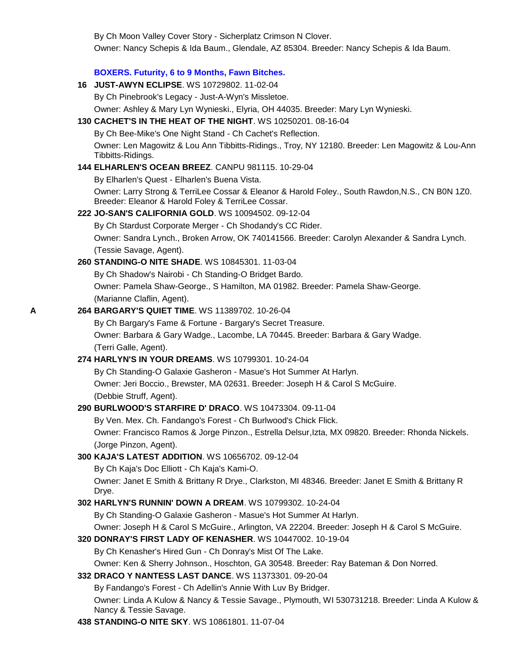By Ch Moon Valley Cover Story - Sicherplatz Crimson N Clover.

Owner: Nancy Schepis & Ida Baum., Glendale, AZ 85304. Breeder: Nancy Schepis & Ida Baum.

### **BOXERS. Futurity, 6 to 9 Months, Fawn Bitches.**

**16 [JUST-AWYN ECLIPSE](http://canis.infodog.com/files/bdogrsl1.prg;makc=WS_10729802;mdog=Just-Awyn_Eclipse;wins=all)**. WS 10729802. 11-02-04

By Ch Pinebrook's Legacy - Just-A-Wyn's Missletoe.

Owner: Ashley & Mary Lyn Wynieski., Elyria, OH 44035. Breeder: Mary Lyn Wynieski.

### **130 [CACHET'S IN THE HEAT OF THE NIGHT](http://canis.infodog.com/files/bdogrsl1.prg;makc=WS_10250201;mdog=Cachet_s_In_The_Heat_Of_The_Night;wins=all)**. WS 10250201. 08-16-04

By Ch Bee-Mike's One Night Stand - Ch Cachet's Reflection.

Owner: Len Magowitz & Lou Ann Tibbitts-Ridings., Troy, NY 12180. Breeder: Len Magowitz & Lou-Ann Tibbitts-Ridings.

### **144 [ELHARLEN'S OCEAN BREEZ](http://canis.infodog.com/files/bdogrsl1.prg;makc=CANPU_981115;mdog=Elharlen_s_Ocean_Breez;wins=all)**. CANPU 981115. 10-29-04

By Elharlen's Quest - Elharlen's Buena Vista.

Owner: Larry Strong & TerriLee Cossar & Eleanor & Harold Foley., South Rawdon,N.S., CN B0N 1Z0. Breeder: Eleanor & Harold Foley & TerriLee Cossar.

### **222 [JO-SAN'S CALIFORNIA GOLD](http://canis.infodog.com/files/bdogrsl1.prg;makc=WS_10094502;mdog=Jo-San_s_California_Gold;wins=all)**. WS 10094502. 09-12-04

By Ch Stardust Corporate Merger - Ch Shodandy's CC Rider.

Owner: Sandra Lynch., Broken Arrow, OK 740141566. Breeder: Carolyn Alexander & Sandra Lynch. (Tessie Savage, Agent).

### **260 [STANDING-O NITE SHADE](http://canis.infodog.com/files/bdogrsl1.prg;makc=WS_10845301;mdog=Standing-O_Nite_Shade;wins=all)**. WS 10845301. 11-03-04

By Ch Shadow's Nairobi - Ch Standing-O Bridget Bardo. Owner: Pamela Shaw-George., S Hamilton, MA 01982. Breeder: Pamela Shaw-George. (Marianne Claflin, Agent).

### **A 264 [BARGARY'S QUIET TIME](http://canis.infodog.com/files/bdogrsl1.prg;makc=WS_11389702;mdog=Bargary_s_Quiet_Time;wins=all)**. WS 11389702. 10-26-04

By Ch Bargary's Fame & Fortune - Bargary's Secret Treasure. Owner: Barbara & Gary Wadge., Lacombe, LA 70445. Breeder: Barbara & Gary Wadge. (Terri Galle, Agent).

# **274 [HARLYN'S IN YOUR DREAMS](http://canis.infodog.com/files/bdogrsl1.prg;makc=WS_10799301;mdog=Harlyn_s_In_Your_Dreams;wins=all)**. WS 10799301. 10-24-04

By Ch Standing-O Galaxie Gasheron - Masue's Hot Summer At Harlyn. Owner: Jeri Boccio., Brewster, MA 02631. Breeder: Joseph H & Carol S McGuire. (Debbie Struff, Agent).

## **290 [BURLWOOD'S STARFIRE D' DRACO](http://canis.infodog.com/files/bdogrsl1.prg;makc=WS_10473304;mdog=Burlwood_s_Starfire_D__Draco;wins=all)**. WS 10473304. 09-11-04

By Ven. Mex. Ch. Fandango's Forest - Ch Burlwood's Chick Flick. Owner: Francisco Ramos & Jorge Pinzon., Estrella Delsur,Izta, MX 09820. Breeder: Rhonda Nickels. (Jorge Pinzon, Agent).

## **300 [KAJA'S LATEST ADDITION](http://canis.infodog.com/files/bdogrsl1.prg;makc=WS_10656702;mdog=Kaja_s_Latest_Addition;wins=all)**. WS 10656702. 09-12-04

By Ch Kaja's Doc Elliott - Ch Kaja's Kami-O.

Owner: Janet E Smith & Brittany R Drye., Clarkston, MI 48346. Breeder: Janet E Smith & Brittany R Drye.

## **302 [HARLYN'S RUNNIN' DOWN A DREAM](http://canis.infodog.com/files/bdogrsl1.prg;makc=WS_10799302;mdog=Harlyn_s_Runnin__Down_A_Dream;wins=all)**. WS 10799302. 10-24-04

By Ch Standing-O Galaxie Gasheron - Masue's Hot Summer At Harlyn.

Owner: Joseph H & Carol S McGuire., Arlington, VA 22204. Breeder: Joseph H & Carol S McGuire.

### **320 [DONRAY'S FIRST LADY OF KENASHER](http://canis.infodog.com/files/bdogrsl1.prg;makc=WS_10447002;mdog=Donray_s_First_Lady_Of_Kenasher;wins=all)**. WS 10447002. 10-19-04

By Ch Kenasher's Hired Gun - Ch Donray's Mist Of The Lake.

Owner: Ken & Sherry Johnson., Hoschton, GA 30548. Breeder: Ray Bateman & Don Norred.

## **332 [DRACO Y NANTESS LAST DANCE](http://canis.infodog.com/files/bdogrsl1.prg;makc=WS_11373301;mdog=Draco_Y_Nantess_Last_Dance;wins=all)**. WS 11373301. 09-20-04

By Fandango's Forest - Ch Adellin's Annie With Luv By Bridger.

Owner: Linda A Kulow & Nancy & Tessie Savage., Plymouth, WI 530731218. Breeder: Linda A Kulow & Nancy & Tessie Savage.

### **438 [STANDING-O NITE SKY](http://canis.infodog.com/files/bdogrsl1.prg;makc=WS_10861801;mdog=Standing-O_Nite_Sky;wins=all)**. WS 10861801. 11-07-04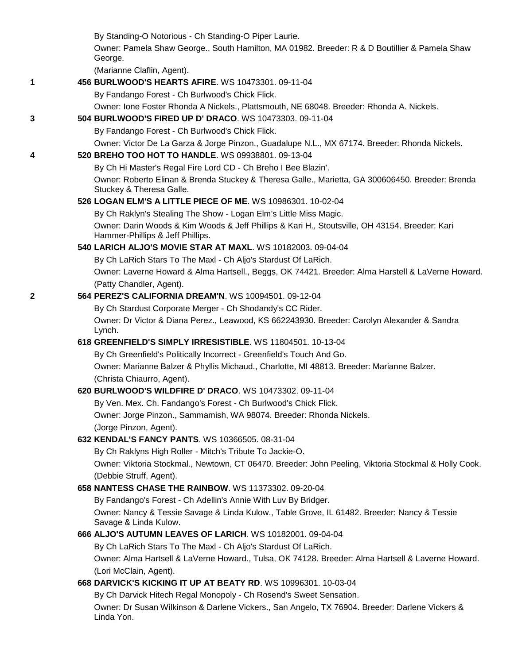By Standing-O Notorious - Ch Standing-O Piper Laurie.

Owner: Pamela Shaw George., South Hamilton, MA 01982. Breeder: R & D Boutillier & Pamela Shaw George.

(Marianne Claflin, Agent).

**1 456 [BURLWOOD'S HEARTS AFIRE](http://canis.infodog.com/files/bdogrsl1.prg;makc=WS_10473301;mdog=Burlwood_s_Hearts_Afire;wins=all)**. WS 10473301. 09-11-04

By Fandango Forest - Ch Burlwood's Chick Flick.

Owner: Ione Foster Rhonda A Nickels., Plattsmouth, NE 68048. Breeder: Rhonda A. Nickels.

**3 504 [BURLWOOD'S FIRED UP D' DRACO](http://canis.infodog.com/files/bdogrsl1.prg;makc=WS_10473303;mdog=Burlwood_s_Fired_Up_D__Draco;wins=all)**. WS 10473303. 09-11-04

By Fandango Forest - Ch Burlwood's Chick Flick.

Owner: Victor De La Garza & Jorge Pinzon., Guadalupe N.L., MX 67174. Breeder: Rhonda Nickels.

### **4 520 [BREHO TOO HOT TO HANDLE](http://canis.infodog.com/files/bdogrsl1.prg;makc=WS_09938801;mdog=Breho_Too_Hot_To_Handle;wins=all)**. WS 09938801. 09-13-04

By Ch Hi Master's Regal Fire Lord CD - Ch Breho I Bee Blazin'.

Owner: Roberto Elinan & Brenda Stuckey & Theresa Galle., Marietta, GA 300606450. Breeder: Brenda Stuckey & Theresa Galle.

### **526 [LOGAN ELM'S A LITTLE PIECE OF ME](http://canis.infodog.com/files/bdogrsl1.prg;makc=WS_10986301;mdog=Logan_Elm_s_A_Little_Piece_Of_Me;wins=all)**. WS 10986301. 10-02-04

By Ch Raklyn's Stealing The Show - Logan Elm's Little Miss Magic. Owner: Darin Woods & Kim Woods & Jeff Phillips & Kari H., Stoutsville, OH 43154. Breeder: Kari Hammer-Phillips & Jeff Phillips.

### **540 [LARICH ALJO'S MOVIE STAR AT MAXL](http://canis.infodog.com/files/bdogrsl1.prg;makc=WS_10182003;mdog=LaRich_Aljo_s_Movie_Star_At_Maxl;wins=all)**. WS 10182003. 09-04-04

By Ch LaRich Stars To The Maxl - Ch Aljo's Stardust Of LaRich.

Owner: Laverne Howard & Alma Hartsell., Beggs, OK 74421. Breeder: Alma Harstell & LaVerne Howard. (Patty Chandler, Agent).

# **2 564 [PEREZ'S CALIFORNIA DREAM'N](http://canis.infodog.com/files/bdogrsl1.prg;makc=WS_10094501;mdog=Perez_s_California_Dream_N;wins=all)**. WS 10094501. 09-12-04

By Ch Stardust Corporate Merger - Ch Shodandy's CC Rider. Owner: Dr Victor & Diana Perez., Leawood, KS 662243930. Breeder: Carolyn Alexander & Sandra Lynch.

## **618 [GREENFIELD'S SIMPLY IRRESISTIBLE](http://canis.infodog.com/files/bdogrsl1.prg;makc=WS_11804501;mdog=Greenfield_s_Simply_Irresistible;wins=all)**. WS 11804501. 10-13-04

By Ch Greenfield's Politically Incorrect - Greenfield's Touch And Go. Owner: Marianne Balzer & Phyllis Michaud., Charlotte, MI 48813. Breeder: Marianne Balzer. (Christa Chiaurro, Agent).

## **620 [BURLWOOD'S WILDFIRE D' DRACO](http://canis.infodog.com/files/bdogrsl1.prg;makc=WS_10473302;mdog=Burlwood_s_Wildfire_D__Draco;wins=all)**. WS 10473302. 09-11-04

By Ven. Mex. Ch. Fandango's Forest - Ch Burlwood's Chick Flick. Owner: Jorge Pinzon., Sammamish, WA 98074. Breeder: Rhonda Nickels. (Jorge Pinzon, Agent).

## **632 [KENDAL'S FANCY PANTS](http://canis.infodog.com/files/bdogrsl1.prg;makc=WS_10366505;mdog=Kendal_s_Fancy_Pants;wins=all)**. WS 10366505. 08-31-04

By Ch Raklyns High Roller - Mitch's Tribute To Jackie-O.

Owner: Viktoria Stockmal., Newtown, CT 06470. Breeder: John Peeling, Viktoria Stockmal & Holly Cook. (Debbie Struff, Agent).

## **658 [NANTESS CHASE THE RAINBOW](http://canis.infodog.com/files/bdogrsl1.prg;makc=WS_11373302;mdog=Nantess_Chase_The_Rainbow;wins=all)**. WS 11373302. 09-20-04

By Fandango's Forest - Ch Adellin's Annie With Luv By Bridger.

Owner: Nancy & Tessie Savage & Linda Kulow., Table Grove, IL 61482. Breeder: Nancy & Tessie Savage & Linda Kulow.

## **666 [ALJO'S AUTUMN LEAVES OF LARICH](http://canis.infodog.com/files/bdogrsl1.prg;makc=WS_10182001;mdog=Aljo_s_Autumn_Leaves_Of_LaRich;wins=all)**. WS 10182001. 09-04-04

By Ch LaRich Stars To The Maxl - Ch Aljo's Stardust Of LaRich.

Owner: Alma Hartsell & LaVerne Howard., Tulsa, OK 74128. Breeder: Alma Hartsell & Laverne Howard. (Lori McClain, Agent).

## **668 [DARVICK'S KICKING IT UP AT BEATY RD](http://canis.infodog.com/files/bdogrsl1.prg;makc=WS_10996301;mdog=Darvick_s_Kicking_It_Up_At_Beaty_Rd;wins=all)**. WS 10996301. 10-03-04

By Ch Darvick Hitech Regal Monopoly - Ch Rosend's Sweet Sensation.

Owner: Dr Susan Wilkinson & Darlene Vickers., San Angelo, TX 76904. Breeder: Darlene Vickers & Linda Yon.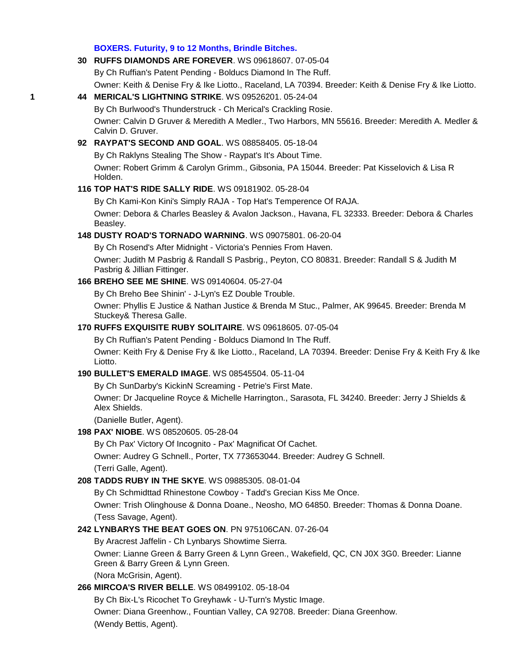#### **BOXERS. Futurity, 9 to 12 Months, Brindle Bitches.**

**30 [RUFFS DIAMONDS ARE FOREVER](http://canis.infodog.com/files/bdogrsl1.prg;makc=WS_09618607;mdog=Ruffs_Diamonds_Are_Forever;wins=all)**. WS 09618607. 07-05-04 By Ch Ruffian's Patent Pending - Bolducs Diamond In The Ruff. Owner: Keith & Denise Fry & Ike Liotto., Raceland, LA 70394. Breeder: Keith & Denise Fry & Ike Liotto. **1 44 MERICAL'S [LIGHTNING STRIKE](http://canis.infodog.com/files/bdogrsl1.prg;makc=WS_09526201;mdog=Merical_s_Lightning_Strike;wins=all)**. WS 09526201. 05-24-04 By Ch Burlwood's Thunderstruck - Ch Merical's Crackling Rosie. Owner: Calvin D Gruver & Meredith A Medler., Two Harbors, MN 55616. Breeder: Meredith A. Medler & Calvin D. Gruver. **92 [RAYPAT'S SECOND AND GOAL](http://canis.infodog.com/files/bdogrsl1.prg;makc=WS_08858405;mdog=Raypat_s_Second_And_Goal;wins=all)**. WS 08858405. 05-18-04 By Ch Raklyns Stealing The Show - Raypat's It's About Time. Owner: Robert Grimm & Carolyn Grimm., Gibsonia, PA 15044. Breeder: Pat Kisselovich & Lisa R Holden. **116 [TOP HAT'S RIDE SALLY RIDE](http://canis.infodog.com/files/bdogrsl1.prg;makc=WS_09181902;mdog=Top_Hat_s_Ride_Sally_Ride;wins=all)**. WS 09181902. 05-28-04 By Ch Kami-Kon Kini's Simply RAJA - Top Hat's Temperence Of RAJA. Owner: Debora & Charles Beasley & Avalon Jackson., Havana, FL 32333. Breeder: Debora & Charles Beasley. **148 [DUSTY ROAD'S TORNADO WARNING](http://canis.infodog.com/files/bdogrsl1.prg;makc=WS_09075801;mdog=Dusty_Road_s_Tornado_Warning;wins=all)**. WS 09075801. 06-20-04 By Ch Rosend's After Midnight - Victoria's Pennies From Haven. Owner: Judith M Pasbrig & Randall S Pasbrig., Peyton, CO 80831. Breeder: Randall S & Judith M Pasbrig & Jillian Fittinger. **166 [BREHO SEE ME SHINE](http://canis.infodog.com/files/bdogrsl1.prg;makc=WS_09140604;mdog=Breho_See_Me_Shine;wins=all)**. WS 09140604. 05-27-04 By Ch Breho Bee Shinin' - J-Lyn's EZ Double Trouble. Owner: Phyllis E Justice & Nathan Justice & Brenda M Stuc., Palmer, AK 99645. Breeder: Brenda M Stuckey& Theresa Galle. **170 [RUFFS EXQUISITE RUBY SOLITAIRE](http://canis.infodog.com/files/bdogrsl1.prg;makc=WS_09618605;mdog=Ruffs_Exquisite_Ruby_Solitaire;wins=all)**. WS 09618605. 07-05-04 By Ch Ruffian's Patent Pending - Bolducs Diamond In The Ruff. Owner: Keith Fry & Denise Fry & Ike Liotto., Raceland, LA 70394. Breeder: Denise Fry & Keith Fry & Ike Liotto. **190 [BULLET'S EMERALD IMAGE](http://canis.infodog.com/files/bdogrsl1.prg;makc=WS_08545504;mdog=Bullet_s_Emerald_Image;wins=all)**. WS 08545504. 05-11-04 By Ch SunDarby's KickinN Screaming - Petrie's First Mate. Owner: Dr Jacqueline Royce & Michelle Harrington., Sarasota, FL 34240. Breeder: Jerry J Shields & Alex Shields. (Danielle Butler, Agent). **198 [PAX' NIOBE](http://canis.infodog.com/files/bdogrsl1.prg;makc=WS_08520605;mdog=Pax__Niobe;wins=all)**. WS 08520605. 05-28-04 By Ch Pax' Victory Of Incognito - Pax' Magnificat Of Cachet. Owner: Audrey G Schnell., Porter, TX 773653044. Breeder: Audrey G Schnell. (Terri Galle, Agent). **208 [TADDS RUBY IN THE SKYE](http://canis.infodog.com/files/bdogrsl1.prg;makc=WS_09885305;mdog=Tadds_Ruby_In_The_Skye;wins=all)**. WS 09885305. 08-01-04 By Ch Schmidttad Rhinestone Cowboy - Tadd's Grecian Kiss Me Once. Owner: Trish Olinghouse & Donna Doane., Neosho, MO 64850. Breeder: Thomas & Donna Doane. (Tess Savage, Agent). **242 [LYNBARYS THE BEAT GOES ON](http://canis.infodog.com/files/bdogrsl1.prg;makc=PN_975106CAN;mdog=Lynbarys_The_Beat_Goes_On;wins=all)**. PN 975106CAN. 07-26-04 By Aracrest Jaffelin - Ch Lynbarys Showtime Sierra. Owner: Lianne Green & Barry Green & Lynn Green., Wakefield, QC, CN J0X 3G0. Breeder: Lianne Green & Barry Green & Lynn Green. (Nora McGrisin, Agent). **266 [MIRCOA'S RIVER BELLE](http://canis.infodog.com/files/bdogrsl1.prg;makc=WS_08499102;mdog=Mircoa_s_River_Belle;wins=all)**. WS 08499102. 05-18-04 By Ch Bix-L's Ricochet To Greyhawk - U-Turn's Mystic Image.

> Owner: Diana Greenhow., Fountian Valley, CA 92708. Breeder: Diana Greenhow. (Wendy Bettis, Agent).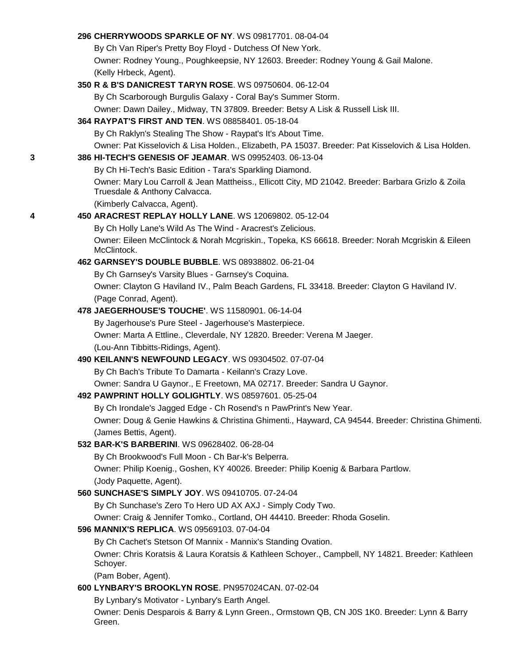|   | 296 CHERRYWOODS SPARKLE OF NY. WS 09817701, 08-04-04                                                                                 |
|---|--------------------------------------------------------------------------------------------------------------------------------------|
|   | By Ch Van Riper's Pretty Boy Floyd - Dutchess Of New York.                                                                           |
|   | Owner: Rodney Young., Poughkeepsie, NY 12603. Breeder: Rodney Young & Gail Malone.                                                   |
|   | (Kelly Hrbeck, Agent).                                                                                                               |
|   | 350 R & B'S DANICREST TARYN ROSE. WS 09750604. 06-12-04                                                                              |
|   | By Ch Scarborough Burgulis Galaxy - Coral Bay's Summer Storm.                                                                        |
|   | Owner: Dawn Dailey., Midway, TN 37809. Breeder: Betsy A Lisk & Russell Lisk III.                                                     |
|   | 364 RAYPAT'S FIRST AND TEN. WS 08858401. 05-18-04                                                                                    |
|   | By Ch Raklyn's Stealing The Show - Raypat's It's About Time.                                                                         |
|   | Owner: Pat Kisselovich & Lisa Holden., Elizabeth, PA 15037. Breeder: Pat Kisselovich & Lisa Holden.                                  |
| 3 | 386 HI-TECH'S GENESIS OF JEAMAR. WS 09952403. 06-13-04                                                                               |
|   | By Ch Hi-Tech's Basic Edition - Tara's Sparkling Diamond.                                                                            |
|   | Owner: Mary Lou Carroll & Jean Mattheiss., Ellicott City, MD 21042. Breeder: Barbara Grizlo & Zoila<br>Truesdale & Anthony Calvacca. |
|   | (Kimberly Calvacca, Agent).                                                                                                          |
| 4 | 450 ARACREST REPLAY HOLLY LANE. WS 12069802. 05-12-04                                                                                |
|   | By Ch Holly Lane's Wild As The Wind - Aracrest's Zelicious.                                                                          |
|   | Owner: Eileen McClintock & Norah Mcgriskin., Topeka, KS 66618. Breeder: Norah Mcgriskin & Eileen<br>McClintock.                      |
|   | 462 GARNSEY'S DOUBLE BUBBLE. WS 08938802. 06-21-04                                                                                   |
|   | By Ch Garnsey's Varsity Blues - Garnsey's Coquina.                                                                                   |
|   | Owner: Clayton G Haviland IV., Palm Beach Gardens, FL 33418. Breeder: Clayton G Haviland IV.                                         |
|   | (Page Conrad, Agent).                                                                                                                |
|   | 478 JAEGERHOUSE'S TOUCHE'. WS 11580901. 06-14-04                                                                                     |
|   | By Jagerhouse's Pure Steel - Jagerhouse's Masterpiece.                                                                               |
|   | Owner: Marta A Ettline., Cleverdale, NY 12820. Breeder: Verena M Jaeger.                                                             |
|   | (Lou-Ann Tibbitts-Ridings, Agent).                                                                                                   |
|   | 490 KEILANN'S NEWFOUND LEGACY. WS 09304502. 07-07-04                                                                                 |
|   | By Ch Bach's Tribute To Damarta - Keilann's Crazy Love.                                                                              |
|   | Owner: Sandra U Gaynor., E Freetown, MA 02717. Breeder: Sandra U Gaynor.                                                             |
|   | 492 PAWPRINT HOLLY GOLIGHTLY. WS 08597601. 05-25-04                                                                                  |
|   | By Ch Irondale's Jagged Edge - Ch Rosend's n PawPrint's New Year.                                                                    |
|   | Owner: Doug & Genie Hawkins & Christina Ghimenti., Hayward, CA 94544. Breeder: Christina Ghimenti.                                   |
|   | (James Bettis, Agent).                                                                                                               |
|   | 532 BAR-K'S BARBERINI. WS 09628402. 06-28-04                                                                                         |
|   | By Ch Brookwood's Full Moon - Ch Bar-k's Belperra.                                                                                   |
|   | Owner: Philip Koenig., Goshen, KY 40026. Breeder: Philip Koenig & Barbara Partlow.                                                   |
|   | (Jody Paquette, Agent).<br>560 SUNCHASE'S SIMPLY JOY. WS 09410705. 07-24-04                                                          |
|   | By Ch Sunchase's Zero To Hero UD AX AXJ - Simply Cody Two.                                                                           |
|   |                                                                                                                                      |
|   | Owner: Craig & Jennifer Tomko., Cortland, OH 44410. Breeder: Rhoda Goselin.<br>596 MANNIX'S REPLICA. WS 09569103. 07-04-04           |
|   | By Ch Cachet's Stetson Of Mannix - Mannix's Standing Ovation.                                                                        |
|   | Owner: Chris Koratsis & Laura Koratsis & Kathleen Schoyer., Campbell, NY 14821. Breeder: Kathleen<br>Schoyer.                        |
|   | (Pam Bober, Agent).                                                                                                                  |
|   | 600 LYNBARY'S BROOKLYN ROSE. PN957024CAN. 07-02-04                                                                                   |
|   | By Lynbary's Motivator - Lynbary's Earth Angel.                                                                                      |
|   | Owner: Denis Desparois & Barry & Lynn Green., Ormstown QB, CN J0S 1K0. Breeder: Lynn & Barry<br>Green.                               |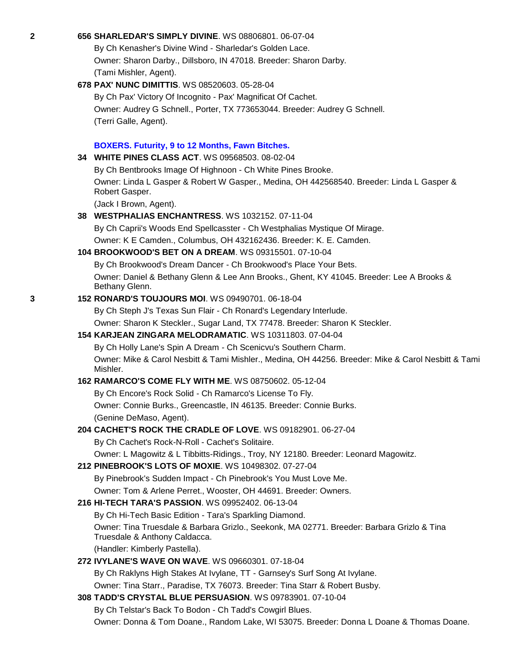**2 656 [SHARLEDAR'S SIMPLY DIVINE](http://canis.infodog.com/files/bdogrsl1.prg;makc=WS_08806801;mdog=Sharledar_s_Simply_Divine;wins=all)**. WS 08806801. 06-07-04 By Ch Kenasher's Divine Wind - Sharledar's Golden Lace. Owner: Sharon Darby., Dillsboro, IN 47018. Breeder: Sharon Darby. (Tami Mishler, Agent). **678 [PAX' NUNC DIMITTIS](http://canis.infodog.com/files/bdogrsl1.prg;makc=WS_08520603;mdog=Pax__Nunc_Dimittis;wins=all)**. WS 08520603. 05-28-04 By Ch Pax' Victory Of Incognito - Pax' Magnificat Of Cachet. Owner: Audrey G Schnell., Porter, TX 773653044. Breeder: Audrey G Schnell. (Terri Galle, Agent). **BOXERS. Futurity, 9 to 12 Months, Fawn Bitches. 34 [WHITE PINES CLASS ACT](http://canis.infodog.com/files/bdogrsl1.prg;makc=WS_09568503;mdog=White_Pines_Class_Act;wins=all)**. WS 09568503. 08-02-04 By Ch Bentbrooks Image Of Highnoon - Ch White Pines Brooke. Owner: Linda L Gasper & Robert W Gasper., Medina, OH 442568540. Breeder: Linda L Gasper & Robert Gasper. (Jack I Brown, Agent). **38 [WESTPHALIAS ENCHANTRESS](http://canis.infodog.com/files/bdogrsl1.prg;makc=WS_1032152;mdog=Westphalias_Enchantress;wins=all)**. WS 1032152. 07-11-04 By Ch Caprii's Woods End Spellcasster - Ch Westphalias Mystique Of Mirage. Owner: K E Camden., Columbus, OH 432162436. Breeder: K. E. Camden. **104 [BROOKWOOD'S BET ON A DREAM](http://canis.infodog.com/files/bdogrsl1.prg;makc=WS_09315501;mdog=Brookwood_s_Bet_On_A_Dream;wins=all)**. WS 09315501. 07-10-04 By Ch Brookwood's Dream Dancer - Ch Brookwood's Place Your Bets. Owner: Daniel & Bethany Glenn & Lee Ann Brooks., Ghent, KY 41045. Breeder: Lee A Brooks & Bethany Glenn. **3 152 [RONARD'S TOUJOURS MOI](http://canis.infodog.com/files/bdogrsl1.prg;makc=WS_09490701;mdog=Ronard_s_Toujours_Moi;wins=all)**. WS 09490701. 06-18-04 By Ch Steph J's Texas Sun Flair - Ch Ronard's Legendary Interlude. Owner: Sharon K Steckler., Sugar Land, TX 77478. Breeder: Sharon K Steckler. **154 [KARJEAN ZINGARA MELODRAMATIC](http://canis.infodog.com/files/bdogrsl1.prg;makc=WS_10311803;mdog=Karjean_Zingara_Melodramatic;wins=all)**. WS 10311803. 07-04-04 By Ch Holly Lane's Spin A Dream - Ch Scenicvu's Southern Charm. Owner: Mike & Carol Nesbitt & Tami Mishler., Medina, OH 44256. Breeder: Mike & Carol Nesbitt & Tami Mishler. **162 [RAMARCO'S COME](http://canis.infodog.com/files/bdogrsl1.prg;makc=WS_08750602;mdog=Ramarco_s_Come_Fly_With_Me;wins=all) FLY WITH ME**. WS 08750602. 05-12-04 By Ch Encore's Rock Solid - Ch Ramarco's License To Fly. Owner: Connie Burks., Greencastle, IN 46135. Breeder: Connie Burks. (Genine DeMaso, Agent). **204 [CACHET'S ROCK THE CRADLE OF LOVE](http://canis.infodog.com/files/bdogrsl1.prg;makc=WS_09182901;mdog=Cachet_s_Rock_The_Cradle_Of_Love;wins=all)**. WS 09182901. 06-27-04 By Ch Cachet's Rock-N-Roll - Cachet's Solitaire. Owner: L Magowitz & L Tibbitts-Ridings., Troy, NY 12180. Breeder: Leonard Magowitz. **212 [PINEBROOK'S LOTS OF MOXIE](http://canis.infodog.com/files/bdogrsl1.prg;makc=WS_10498302;mdog=Pinebrook_s_Lots_Of_Moxie;wins=all)**. WS 10498302. 07-27-04 By Pinebrook's Sudden Impact - Ch Pinebrook's You Must Love Me. Owner: Tom & Arlene Perret., Wooster, OH 44691. Breeder: Owners. **216 [HI-TECH TARA'S PASSION](http://canis.infodog.com/files/bdogrsl1.prg;makc=WS_09952402;mdog=Hi-Tech_Tara_s_Passion;wins=all)**. WS 09952402. 06-13-04 By Ch Hi-Tech Basic Edition - Tara's Sparkling Diamond. Owner: Tina Truesdale & Barbara Grizlo., Seekonk, MA 02771. Breeder: Barbara Grizlo & Tina Truesdale & Anthony Caldacca. (Handler: Kimberly Pastella). **272 [IVYLANE'S WAVE ON WAVE](http://canis.infodog.com/files/bdogrsl1.prg;makc=WS_09660301;mdog=Ivylane_s_Wave_On_Wave;wins=all)**. WS 09660301. 07-18-04 By Ch Raklyns High Stakes At Ivylane, TT - Garnsey's Surf Song At Ivylane. Owner: Tina Starr., Paradise, TX 76073. Breeder: Tina Starr & Robert Busby. **308 [TADD'S CRYSTAL BLUE PERSUASION](http://canis.infodog.com/files/bdogrsl1.prg;makc=WS_09783901;mdog=Tadd_s_Crystal_Blue_Persuasion;wins=all)**. WS 09783901. 07-10-04 By Ch Telstar's Back To Bodon - Ch Tadd's Cowgirl Blues.

Owner: Donna & Tom Doane., Random Lake, WI 53075. Breeder: Donna L Doane & Thomas Doane.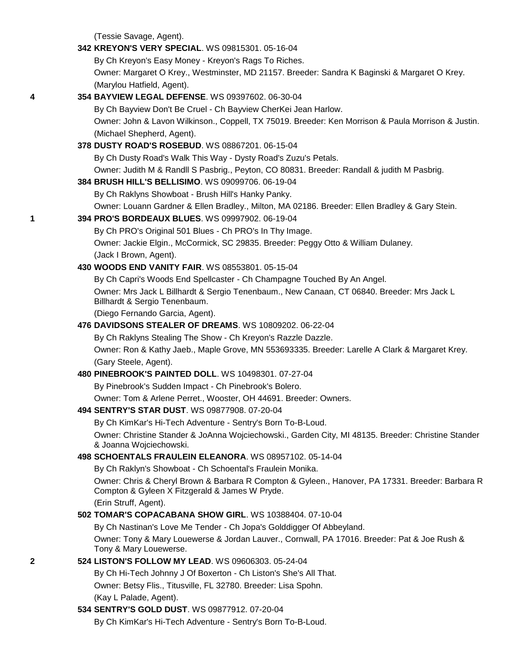(Tessie Savage, Agent).

|   | 342 KREYON'S VERY SPECIAL, WS 09815301, 05-16-04                                                                                                   |
|---|----------------------------------------------------------------------------------------------------------------------------------------------------|
|   | By Ch Kreyon's Easy Money - Kreyon's Rags To Riches.                                                                                               |
|   | Owner: Margaret O Krey., Westminster, MD 21157. Breeder: Sandra K Baginski & Margaret O Krey.                                                      |
|   | (Marylou Hatfield, Agent).                                                                                                                         |
| 4 | 354 BAYVIEW LEGAL DEFENSE. WS 09397602. 06-30-04                                                                                                   |
|   | By Ch Bayview Don't Be Cruel - Ch Bayview CherKei Jean Harlow.                                                                                     |
|   | Owner: John & Lavon Wilkinson., Coppell, TX 75019. Breeder: Ken Morrison & Paula Morrison & Justin.                                                |
|   | (Michael Shepherd, Agent).                                                                                                                         |
|   | 378 DUSTY ROAD'S ROSEBUD. WS 08867201. 06-15-04                                                                                                    |
|   | By Ch Dusty Road's Walk This Way - Dysty Road's Zuzu's Petals.                                                                                     |
|   | Owner: Judith M & Randll S Pasbrig., Peyton, CO 80831. Breeder: Randall & judith M Pasbrig.                                                        |
|   | 384 BRUSH HILL'S BELLISIMO. WS 09099706. 06-19-04                                                                                                  |
|   | By Ch Raklyns Showboat - Brush Hill's Hanky Panky.                                                                                                 |
|   | Owner: Louann Gardner & Ellen Bradley., Milton, MA 02186. Breeder: Ellen Bradley & Gary Stein.                                                     |
| 1 | 394 PRO'S BORDEAUX BLUES. WS 09997902. 06-19-04                                                                                                    |
|   | By Ch PRO's Original 501 Blues - Ch PRO's In Thy Image.                                                                                            |
|   | Owner: Jackie Elgin., McCormick, SC 29835. Breeder: Peggy Otto & William Dulaney.                                                                  |
|   | (Jack I Brown, Agent).                                                                                                                             |
|   | 430 WOODS END VANITY FAIR. WS 08553801. 05-15-04                                                                                                   |
|   | By Ch Capri's Woods End Spellcaster - Ch Champagne Touched By An Angel.                                                                            |
|   | Owner: Mrs Jack L Billhardt & Sergio Tenenbaum., New Canaan, CT 06840. Breeder: Mrs Jack L                                                         |
|   | Billhardt & Sergio Tenenbaum.                                                                                                                      |
|   | (Diego Fernando Garcia, Agent).                                                                                                                    |
|   | 476 DAVIDSONS STEALER OF DREAMS. WS 10809202. 06-22-04                                                                                             |
|   | By Ch Raklyns Stealing The Show - Ch Kreyon's Razzle Dazzle.                                                                                       |
|   | Owner: Ron & Kathy Jaeb., Maple Grove, MN 553693335. Breeder: Larelle A Clark & Margaret Krey.                                                     |
|   | (Gary Steele, Agent).                                                                                                                              |
|   | 480 PINEBROOK'S PAINTED DOLL. WS 10498301. 07-27-04                                                                                                |
|   | By Pinebrook's Sudden Impact - Ch Pinebrook's Bolero.                                                                                              |
|   | Owner: Tom & Arlene Perret., Wooster, OH 44691. Breeder: Owners.                                                                                   |
|   | 494 SENTRY'S STAR DUST. WS 09877908. 07-20-04                                                                                                      |
|   | By Ch KimKar's Hi-Tech Adventure - Sentry's Born To-B-Loud.                                                                                        |
|   | Owner: Christine Stander & JoAnna Wojciechowski., Garden City, MI 48135. Breeder: Christine Stander                                                |
|   | & Joanna Wojciechowski.                                                                                                                            |
|   | 498 SCHOENTALS FRAULEIN ELEANORA. WS 08957102. 05-14-04                                                                                            |
|   | By Ch Raklyn's Showboat - Ch Schoental's Fraulein Monika.                                                                                          |
|   | Owner: Chris & Cheryl Brown & Barbara R Compton & Gyleen., Hanover, PA 17331. Breeder: Barbara R<br>Compton & Gyleen X Fitzgerald & James W Pryde. |
|   | (Erin Struff, Agent).                                                                                                                              |
|   | 502 TOMAR'S COPACABANA SHOW GIRL. WS 10388404. 07-10-04                                                                                            |
|   | By Ch Nastinan's Love Me Tender - Ch Jopa's Golddigger Of Abbeyland.                                                                               |
|   | Owner: Tony & Mary Louewerse & Jordan Lauver., Cornwall, PA 17016. Breeder: Pat & Joe Rush &                                                       |
|   | Tony & Mary Louewerse.                                                                                                                             |
| 2 | 524 LISTON'S FOLLOW MY LEAD. WS 09606303. 05-24-04                                                                                                 |
|   | By Ch Hi-Tech Johnny J Of Boxerton - Ch Liston's She's All That.                                                                                   |
|   | Owner: Betsy Flis., Titusville, FL 32780. Breeder: Lisa Spohn.                                                                                     |
|   | (Kay L Palade, Agent).                                                                                                                             |
|   | 534 SENTRY'S GOLD DUST. WS 09877912. 07-20-04                                                                                                      |
|   | By Ch KimKar's Hi-Tech Adventure - Sentry's Born To-B-Loud.                                                                                        |
|   |                                                                                                                                                    |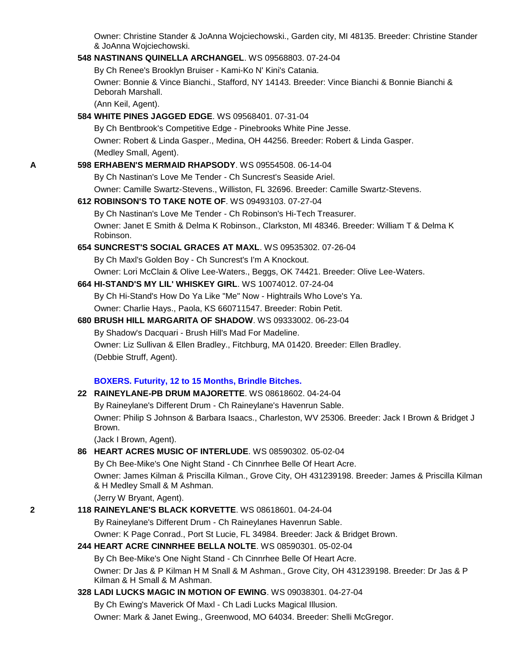Owner: Christine Stander & JoAnna Wojciechowski., Garden city, MI 48135. Breeder: Christine Stander & JoAnna Wojciechowski.

#### **548 [NASTINANS QUINELLA ARCHANGEL](http://canis.infodog.com/files/bdogrsl1.prg;makc=WS_09568803;mdog=Nastinans_Quinella_Archangel;wins=all)**. WS 09568803. 07-24-04

By Ch Renee's Brooklyn Bruiser - Kami-Ko N' Kini's Catania.

Owner: Bonnie & Vince Bianchi., Stafford, NY 14143. Breeder: Vince Bianchi & Bonnie Bianchi & Deborah Marshall.

(Ann Keil, Agent).

# **584 [WHITE PINES JAGGED EDGE](http://canis.infodog.com/files/bdogrsl1.prg;makc=WS_09568401;mdog=White_Pines_Jagged_Edge;wins=all)**. WS 09568401. 07-31-04

By Ch Bentbrook's Competitive Edge - Pinebrooks White Pine Jesse. Owner: Robert & Linda Gasper., Medina, OH 44256. Breeder: Robert & Linda Gasper. (Medley Small, Agent).

#### **A 598 [ERHABEN'S MERMAID RHAPSODY](http://canis.infodog.com/files/bdogrsl1.prg;makc=WS_09554508;mdog=Erhaben_s_Mermaid_Rhapsody;wins=all)**. WS 09554508. 06-14-04

By Ch Nastinan's Love Me Tender - Ch Suncrest's Seaside Ariel.

Owner: Camille Swartz-Stevens., Williston, FL 32696. Breeder: Camille Swartz-Stevens.

#### **612 [ROBINSON'S TO TAKE NOTE OF](http://canis.infodog.com/files/bdogrsl1.prg;makc=WS_09493103;mdog=Robinson_s_To_Take_Note_Of;wins=all)**. WS 09493103. 07-27-04

By Ch Nastinan's Love Me Tender - Ch Robinson's Hi-Tech Treasurer. Owner: Janet E Smith & Delma K Robinson., Clarkston, MI 48346. Breeder: William T & Delma K Robinson.

# **654 [SUNCREST'S SOCIAL GRACES AT MAXL](http://canis.infodog.com/files/bdogrsl1.prg;makc=WS_09535302;mdog=Suncrest_s_Social_Graces_At_Maxl;wins=all)**. WS 09535302. 07-26-04

By Ch Maxl's Golden Boy - Ch Suncrest's I'm A Knockout.

Owner: Lori McClain & Olive Lee-Waters., Beggs, OK 74421. Breeder: Olive Lee-Waters.

### **664 [HI-STAND'S MY LIL' WHISKEY GIRL](http://canis.infodog.com/files/bdogrsl1.prg;makc=WS_10074012;mdog=Hi-Stand_s_My_Lil__Whiskey_Girl;wins=all)**. WS 10074012. 07-24-04

By Ch Hi-Stand's How Do Ya Like "Me" Now - Hightrails Who Love's Ya. Owner: Charlie Hays., Paola, KS 660711547. Breeder: Robin Petit.

# **680 [BRUSH HILL MARGARITA OF SHADOW](http://canis.infodog.com/files/bdogrsl1.prg;makc=WS_09333002;mdog=Brush_Hill_Margarita_Of_Shadow;wins=all)**. WS 09333002. 06-23-04 By Shadow's Dacquari - Brush Hill's Mad For Madeline. Owner: Liz Sullivan & Ellen Bradley., Fitchburg, MA 01420. Breeder: Ellen Bradley. (Debbie Struff, Agent).

#### **BOXERS. Futurity, 12 to 15 Months, Brindle Bitches.**

## **22 [RAINEYLANE-PB DRUM MAJORETTE](http://canis.infodog.com/files/bdogrsl1.prg;makc=WS_08618602;mdog=Raineylane-PB_Drum_Majorette;wins=all)**. WS 08618602. 04-24-04

By Raineylane's Different Drum - Ch Raineylane's Havenrun Sable. Owner: Philip S Johnson & Barbara Isaacs., Charleston, WV 25306. Breeder: Jack I Brown & Bridget J Brown.

(Jack I Brown, Agent).

#### **86 [HEART ACRES MUSIC OF INTERLUDE](http://canis.infodog.com/files/bdogrsl1.prg;makc=WS_08590302;mdog=Heart_Acres_Music_Of_Interlude;wins=all)**. WS 08590302. 05-02-04

By Ch Bee-Mike's One Night Stand - Ch Cinnrhee Belle Of Heart Acre. Owner: James Kilman & Priscilla Kilman., Grove City, OH 431239198. Breeder: James & Priscilla Kilman & H Medley Small & M Ashman.

# (Jerry W Bryant, Agent).

### **2 118 [RAINEYLANE'S BLACK KORVETTE](http://canis.infodog.com/files/bdogrsl1.prg;makc=WS_08618601;mdog=Raineylane_s_Black_Korvette;wins=all)**. WS 08618601. 04-24-04

By Raineylane's Different Drum - Ch Raineylanes Havenrun Sable.

Owner: K Page Conrad., Port St Lucie, FL 34984. Breeder: Jack & Bridget Brown.

### **244 [HEART ACRE CINNRHEE BELLA NOLTE](http://canis.infodog.com/files/bdogrsl1.prg;makc=WS_08590301;mdog=Heart_Acre_Cinnrhee_Bella_Nolte;wins=all)**. WS 08590301. 05-02-04

By Ch Bee-Mike's One Night Stand - Ch Cinnrhee Belle Of Heart Acre. Owner: Dr Jas & P Kilman H M Snall & M Ashman., Grove City, OH 431239198. Breeder: Dr Jas & P Kilman & H Small & M Ashman.

#### **328 [LADI LUCKS MAGIC IN MOTION OF EWING](http://canis.infodog.com/files/bdogrsl1.prg;makc=WS_09038301;mdog=Ladi_Lucks_Magic_In_Motion_Of_Ewing;wins=all)**. WS 09038301. 04-27-04

By Ch Ewing's Maverick Of Maxl - Ch Ladi Lucks Magical Illusion.

Owner: Mark & Janet Ewing., Greenwood, MO 64034. Breeder: Shelli McGregor.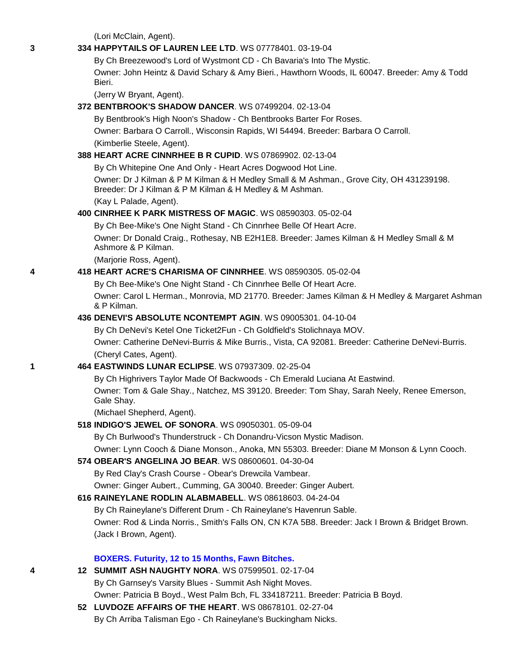(Lori McClain, Agent).

#### **3 334 [HAPPYTAILS OF LAUREN LEE LTD](http://canis.infodog.com/files/bdogrsl1.prg;makc=WS_07778401;mdog=Happytails_of_Lauren_Lee_LTD;wins=all)**. WS 07778401. 03-19-04

By Ch Breezewood's Lord of Wystmont CD - Ch Bavaria's Into The Mystic. Owner: John Heintz & David Schary & Amy Bieri., Hawthorn Woods, IL 60047. Breeder: Amy & Todd Bieri.

(Jerry W Bryant, Agent).

#### **372 [BENTBROOK'S SHADOW DANCER](http://canis.infodog.com/files/bdogrsl1.prg;makc=WS_07499204;mdog=Bentbrook_s_Shadow_Dancer;wins=all)**. WS 07499204. 02-13-04

By Bentbrook's High Noon's Shadow - Ch Bentbrooks Barter For Roses. Owner: Barbara O Carroll., Wisconsin Rapids, WI 54494. Breeder: Barbara O Carroll. (Kimberlie Steele, Agent).

#### **388 [HEART ACRE CINNRHEE B R CUPID](http://canis.infodog.com/files/bdogrsl1.prg;makc=WS_07869902;mdog=Heart_Acre_Cinnrhee_B_R_Cupid;wins=all)**. WS 07869902. 02-13-04

By Ch Whitepine One And Only - Heart Acres Dogwood Hot Line. Owner: Dr J Kilman & P M Kilman & H Medley Small & M Ashman., Grove City, OH 431239198. Breeder: Dr J Kilman & P M Kilman & H Medley & M Ashman.

(Kay L Palade, Agent).

#### **400 [CINRHEE K PARK MISTRESS OF MAGIC](http://canis.infodog.com/files/bdogrsl1.prg;makc=WS_08590303;mdog=Cinrhee_K_Park_Mistress_Of_Magic;wins=all)**. WS 08590303. 05-02-04

By Ch Bee-Mike's One Night Stand - Ch Cinnrhee Belle Of Heart Acre. Owner: Dr Donald Craig., Rothesay, NB E2H1E8. Breeder: James Kilman & H Medley Small & M Ashmore & P Kilman.

(Marjorie Ross, Agent).

### **4 418 [HEART ACRE'S CHARISMA OF CINNRHEE](http://canis.infodog.com/files/bdogrsl1.prg;makc=WS_08590305;mdog=Heart_Acre_s_Charisma_Of_Cinnrhee;wins=all)**. WS 08590305. 05-02-04

By Ch Bee-Mike's One Night Stand - Ch Cinnrhee Belle Of Heart Acre.

Owner: Carol L Herman., Monrovia, MD 21770. Breeder: James Kilman & H Medley & Margaret Ashman & P Kilman.

### **436 [DENEVI'S ABSOLUTE NCONTEMPT AGIN](http://canis.infodog.com/files/bdogrsl1.prg;makc=WS_09005301;mdog=DeNevi_s_Absolute_NContempt_Agin;wins=all)**. WS 09005301. 04-10-04

By Ch DeNevi's Ketel One Ticket2Fun - Ch Goldfield's Stolichnaya MOV. Owner: Catherine DeNevi-Burris & Mike Burris., Vista, CA 92081. Breeder: Catherine DeNevi-Burris. (Cheryl Cates, Agent).

#### **1 464 [EASTWINDS LUNAR ECLIPSE](http://canis.infodog.com/files/bdogrsl1.prg;makc=WS_07937309;mdog=Eastwinds_Lunar_Eclipse;wins=all)**. WS 07937309. 02-25-04

By Ch Highrivers Taylor Made Of Backwoods - Ch Emerald Luciana At Eastwind. Owner: Tom & Gale Shay., Natchez, MS 39120. Breeder: Tom Shay, Sarah Neely, Renee Emerson, Gale Shay.

(Michael Shepherd, Agent).

#### **518 [INDIGO'S JEWEL OF SONORA](http://canis.infodog.com/files/bdogrsl1.prg;makc=WS_09050301;mdog=Indigo_s_Jewel_Of_Sonora;wins=all)**. WS 09050301. 05-09-04

By Ch Burlwood's Thunderstruck - Ch Donandru-Vicson Mystic Madison.

Owner: Lynn Cooch & Diane Monson., Anoka, MN 55303. Breeder: Diane M Monson & Lynn Cooch.

### **574 [OBEAR'S ANGELINA JO BEAR](http://canis.infodog.com/files/bdogrsl1.prg;makc=WS_08600601;mdog=Obear_s_Angelina_Jo_Bear;wins=all)**. WS 08600601. 04-30-04

By Red Clay's Crash Course - Obear's Drewcila Vambear.

Owner: Ginger Aubert., Cumming, GA 30040. Breeder: Ginger Aubert.

### **616 [RAINEYLANE RODLIN ALABMABELL](http://canis.infodog.com/files/bdogrsl1.prg;makc=WS_08618603;mdog=Raineylane_Rodlin_Alabmabell;wins=all)**. WS 08618603. 04-24-04

By Ch Raineylane's Different Drum - Ch Raineylane's Havenrun Sable. Owner: Rod & Linda Norris., Smith's Falls ON, CN K7A 5B8. Breeder: Jack I Brown & Bridget Brown. (Jack I Brown, Agent).

#### **BOXERS. Futurity, 12 to 15 Months, Fawn Bitches.**

- **4 12 [SUMMIT ASH NAUGHTY NORA](http://canis.infodog.com/files/bdogrsl1.prg;makc=WS_07599501;mdog=Summit_Ash_Naughty_Nora;wins=all)**. WS 07599501. 02-17-04 By Ch Garnsey's Varsity Blues - Summit Ash Night Moves. Owner: Patricia B Boyd., West Palm Bch, FL 334187211. Breeder: Patricia B Boyd.
	- **52 [LUVDOZE AFFAIRS OF THE HEART](http://canis.infodog.com/files/bdogrsl1.prg;makc=WS_08678101;mdog=Luvdoze_Affairs_Of_The_Heart;wins=all)**. WS 08678101. 02-27-04 By Ch Arriba Talisman Ego - Ch Raineylane's Buckingham Nicks.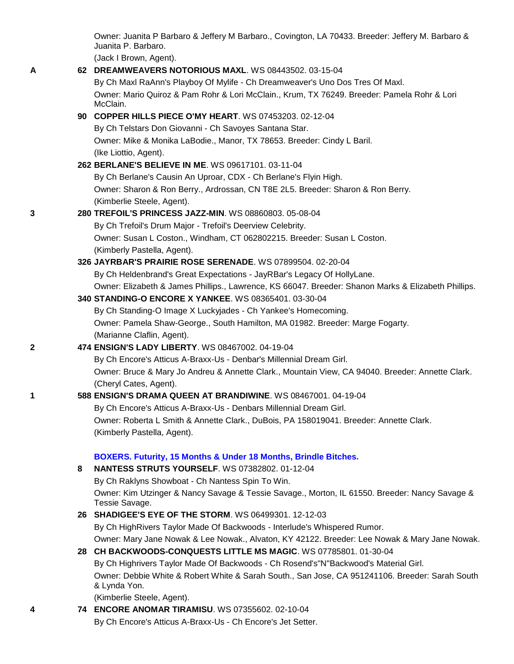Owner: Juanita P Barbaro & Jeffery M Barbaro., Covington, LA 70433. Breeder: Jeffery M. Barbaro & Juanita P. Barbaro.

(Jack I Brown, Agent).

**A 62 [DREAMWEAVERS NOTORIOUS MAXL](http://canis.infodog.com/files/bdogrsl1.prg;makc=WS_08443502;mdog=Dreamweavers_Notorious_Maxl;wins=all)**. WS 08443502. 03-15-04

By Ch Maxl RaAnn's Playboy Of Mylife - Ch Dreamweaver's Uno Dos Tres Of Maxl. Owner: Mario Quiroz & Pam Rohr & Lori McClain., Krum, TX 76249. Breeder: Pamela Rohr & Lori McClain.

## **90 [COPPER HILLS PIECE O'MY HEART](http://canis.infodog.com/files/bdogrsl1.prg;makc=WS_07453203;mdog=Copper_Hills_Piece_O_My_Heart;wins=all)**. WS 07453203. 02-12-04

By Ch Telstars Don Giovanni - Ch Savoyes Santana Star. Owner: Mike & Monika LaBodie., Manor, TX 78653. Breeder: Cindy L Baril. (Ike Liottio, Agent).

### **262 [BERLANE'S BELIEVE IN ME](http://canis.infodog.com/files/bdogrsl1.prg;makc=WS_09617101;mdog=Berlane_s_Believe_In_Me;wins=all)**. WS 09617101. 03-11-04

By Ch Berlane's Causin An Uproar, CDX - Ch Berlane's Flyin High. Owner: Sharon & Ron Berry., Ardrossan, CN T8E 2L5. Breeder: Sharon & Ron Berry. (Kimberlie Steele, Agent).

### **3 280 [TREFOIL'S PRINCESS JAZZ-MIN](http://canis.infodog.com/files/bdogrsl1.prg;makc=WS_08860803;mdog=Trefoil_s_Princess_Jazz-Min;wins=all)**. WS 08860803. 05-08-04

By Ch Trefoil's Drum Major - Trefoil's Deerview Celebrity. Owner: Susan L Coston., Windham, CT 062802215. Breeder: Susan L Coston. (Kimberly Pastella, Agent).

**326 [JAYRBAR'S PRAIRIE ROSE SERENADE](http://canis.infodog.com/files/bdogrsl1.prg;makc=WS_07899504;mdog=JayRBar_s_Prairie_Rose_Serenade;wins=all)**. WS 07899504. 02-20-04

By Ch Heldenbrand's Great Expectations - JayRBar's Legacy Of HollyLane. Owner: Elizabeth & James Phillips., Lawrence, KS 66047. Breeder: Shanon Marks & Elizabeth Phillips.

### **340 [STANDING-O ENCORE X YANKEE](http://canis.infodog.com/files/bdogrsl1.prg;makc=WS_08365401;mdog=Standing-O_Encore_X_Yankee;wins=all)**. WS 08365401. 03-30-04

By Ch Standing-O Image X Luckyjades - Ch Yankee's Homecoming. Owner: Pamela Shaw-George., South Hamilton, MA 01982. Breeder: Marge Fogarty. (Marianne Claflin, Agent).

## **2 474 [ENSIGN'S LADY LIBERTY](http://canis.infodog.com/files/bdogrsl1.prg;makc=WS_08467002;mdog=Ensign_s_Lady_Liberty;wins=all)**. WS 08467002. 04-19-04

By Ch Encore's Atticus A-Braxx-Us - Denbar's Millennial Dream Girl. Owner: Bruce & Mary Jo Andreu & Annette Clark., Mountain View, CA 94040. Breeder: Annette Clark. (Cheryl Cates, Agent).

### **1 588 [ENSIGN'S DRAMA QUEEN AT BRANDIWINE](http://canis.infodog.com/files/bdogrsl1.prg;makc=WS_08467001;mdog=Ensign_s_Drama_Queen_At_Brandiwine;wins=all)**. WS 08467001. 04-19-04

By Ch Encore's Atticus A-Braxx-Us - Denbars Millennial Dream Girl. Owner: Roberta L Smith & Annette Clark., DuBois, PA 158019041. Breeder: Annette Clark. (Kimberly Pastella, Agent).

### **BOXERS. Futurity, 15 Months & Under 18 Months, Brindle Bitches.**

**8 [NANTESS STRUTS YOURSELF](http://canis.infodog.com/files/bdogrsl1.prg;makc=WS_07382802;mdog=Nantess_Struts_Yourself;wins=all)**. WS 07382802. 01-12-04 By Ch Raklyns Showboat - Ch Nantess Spin To Win. Owner: Kim Utzinger & Nancy Savage & Tessie Savage., Morton, IL 61550. Breeder: Nancy Savage & Tessie Savage. **26 [SHADIGEE'S EYE OF THE STORM](http://canis.infodog.com/files/bdogrsl1.prg;makc=WS_06499301;mdog=Shadigee_s_Eye_Of_The_Storm;wins=all)**. WS 06499301. 12-12-03 By Ch HighRivers Taylor Made Of Backwoods - Interlude's Whispered Rumor. Owner: Mary Jane Nowak & Lee Nowak., Alvaton, KY 42122. Breeder: Lee Nowak & Mary Jane Nowak. **28 [CH BACKWOODS-CONQUESTS LITTLE MS MAGIC](http://canis.infodog.com/files/bdogrsl1.prg;makc=WS_07785801;mdog=Ch_Backwoods-Conquests_Little_Ms_Magic;wins=all)**. WS 07785801. 01-30-04 By Ch Highrivers Taylor Made Of Backwoods - Ch Rosend's"N"Backwood's Material Girl. Owner: Debbie White & Robert White & Sarah South., San Jose, CA 951241106. Breeder: Sarah South

& Lynda Yon.

(Kimberlie Steele, Agent).

# **4 74 [ENCORE ANOMAR TIRAMISU](http://canis.infodog.com/files/bdogrsl1.prg;makc=WS_07355602;mdog=Encore_Anomar_Tiramisu;wins=all)**. WS 07355602. 02-10-04

By Ch Encore's Atticus A-Braxx-Us - Ch Encore's Jet Setter.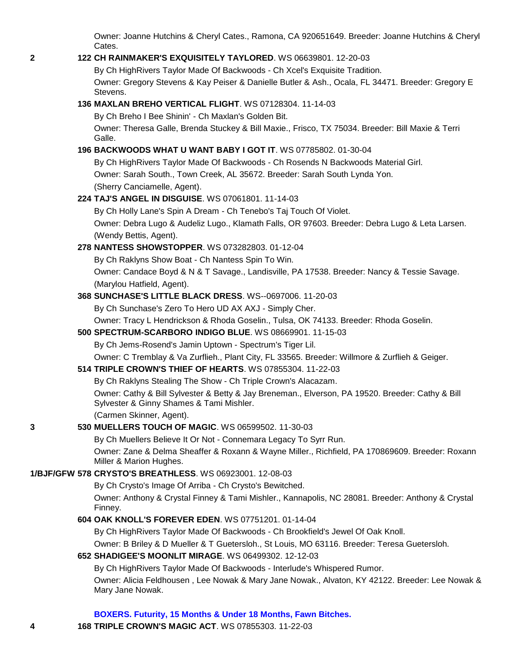Owner: Joanne Hutchins & Cheryl Cates., Ramona, CA 920651649. Breeder: Joanne Hutchins & Cheryl Cates.

### **2 122 [CH RAINMAKER'S EXQUISITELY TAYLORED](http://canis.infodog.com/files/bdogrsl1.prg;makc=WS_06639801;mdog=Ch_Rainmaker_s_Exquisitely_Taylored;wins=all)**. WS 06639801. 12-20-03

By Ch HighRivers Taylor Made Of Backwoods - Ch Xcel's Exquisite Tradition.

Owner: Gregory Stevens & Kay Peiser & Danielle Butler & Ash., Ocala, FL 34471. Breeder: Gregory E Stevens.

### **136 [MAXLAN BREHO VERTICAL FLIGHT](http://canis.infodog.com/files/bdogrsl1.prg;makc=WS_07128304;mdog=Maxlan_Breho_Vertical_Flight;wins=all)**. WS 07128304. 11-14-03

By Ch Breho I Bee Shinin' - Ch Maxlan's Golden Bit.

Owner: Theresa Galle, Brenda Stuckey & Bill Maxie., Frisco, TX 75034. Breeder: Bill Maxie & Terri Galle.

### **196 [BACKWOODS WHAT U WANT BABY I GOT IT](http://canis.infodog.com/files/bdogrsl1.prg;makc=WS_07785802;mdog=Backwoods_What_U_Want_Baby_I_Got_It;wins=all)**. WS 07785802. 01-30-04

By Ch HighRivers Taylor Made Of Backwoods - Ch Rosends N Backwoods Material Girl. Owner: Sarah South., Town Creek, AL 35672. Breeder: Sarah South Lynda Yon. (Sherry Canciamelle, Agent).

### **224 [TAJ'S ANGEL IN DISGUISE](http://canis.infodog.com/files/bdogrsl1.prg;makc=WS_07061801;mdog=Taj_s_Angel_In_Disguise;wins=all)**. WS 07061801. 11-14-03

By Ch Holly Lane's Spin A Dream - Ch Tenebo's Taj Touch Of Violet.

Owner: Debra Lugo & Audeliz Lugo., Klamath Falls, OR 97603. Breeder: Debra Lugo & Leta Larsen. (Wendy Bettis, Agent).

## **278 [NANTESS SHOWSTOPPER](http://canis.infodog.com/files/bdogrsl1.prg;makc=WS_073282803;mdog=Nantess_Showstopper;wins=all)**. WS 073282803. 01-12-04

By Ch Raklyns Show Boat - Ch Nantess Spin To Win.

Owner: Candace Boyd & N & T Savage., Landisville, PA 17538. Breeder: Nancy & Tessie Savage. (Marylou Hatfield, Agent).

## **368 [SUNCHASE'S LITTLE BLACK DRESS](http://canis.infodog.com/files/bdogrsl1.prg;makc=WS--0697006;mdog=Sunchase_s_Little_Black_Dress;wins=all)**. WS--0697006. 11-20-03

By Ch Sunchase's Zero To Hero UD AX AXJ - Simply Cher.

Owner: Tracy L Hendrickson & Rhoda Goselin., Tulsa, OK 74133. Breeder: Rhoda Goselin.

### **500 [SPECTRUM-SCARBORO INDIGO BLUE](http://canis.infodog.com/files/bdogrsl1.prg;makc=WS_08669901;mdog=Spectrum-Scarboro_Indigo_Blue;wins=all)**. WS 08669901. 11-15-03

By Ch Jems-Rosend's Jamin Uptown - Spectrum's Tiger Lil.

Owner: C Tremblay & Va Zurflieh., Plant City, FL 33565. Breeder: Willmore & Zurflieh & Geiger.

## **514 [TRIPLE CROWN'S THIEF OF HEARTS](http://canis.infodog.com/files/bdogrsl1.prg;makc=WS_07855304;mdog=Triple_Crown_s_Thief_Of_Hearts;wins=all)**. WS 07855304. 11-22-03

By Ch Raklyns Stealing The Show - Ch Triple Crown's Alacazam.

Owner: Cathy & Bill Sylvester & Betty & Jay Breneman., Elverson, PA 19520. Breeder: Cathy & Bill Sylvester & Ginny Shames & Tami Mishler.

(Carmen Skinner, Agent).

## **3 530 [MUELLERS TOUCH OF MAGIC](http://canis.infodog.com/files/bdogrsl1.prg;makc=WS_06599502;mdog=Muellers_Touch_Of_Magic;wins=all)**. WS 06599502. 11-30-03

By Ch Muellers Believe It Or Not - Connemara Legacy To Syrr Run.

Owner: Zane & Delma Sheaffer & Roxann & Wayne Miller., Richfield, PA 170869609. Breeder: Roxann Miller & Marion Hughes.

## **1/BJF/GFW 578 [CRYSTO'S BREATHLESS](http://canis.infodog.com/files/bdogrsl1.prg;makc=WS_06923001;mdog=Crysto_s_Breathless;wins=all)**. WS 06923001. 12-08-03

By Ch Crysto's Image Of Arriba - Ch Crysto's Bewitched.

Owner: Anthony & Crystal Finney & Tami Mishler., Kannapolis, NC 28081. Breeder: Anthony & Crystal Finney.

## **604 [OAK KNOLL'S FOREVER EDEN](http://canis.infodog.com/files/bdogrsl1.prg;makc=WS_07751201;mdog=Oak_Knoll_s_Forever_Eden;wins=all)**. WS 07751201. 01-14-04

By Ch HighRivers Taylor Made Of Backwoods - Ch Brookfield's Jewel Of Oak Knoll.

Owner: B Briley & D Mueller & T Guetersloh., St Louis, MO 63116. Breeder: Teresa Guetersloh.

### **652 [SHADIGEE'S MOONLIT MIRAGE](http://canis.infodog.com/files/bdogrsl1.prg;makc=WS_06499302;mdog=Shadigee_s_Moonlit_Mirage;wins=all)**. WS 06499302. 12-12-03

By Ch HighRivers Taylor Made Of Backwoods - Interlude's Whispered Rumor.

Owner: Alicia Feldhousen , Lee Nowak & Mary Jane Nowak., Alvaton, KY 42122. Breeder: Lee Nowak & Mary Jane Nowak.

### **BOXERS. Futurity, 15 Months & Under 18 Months, Fawn Bitches.**